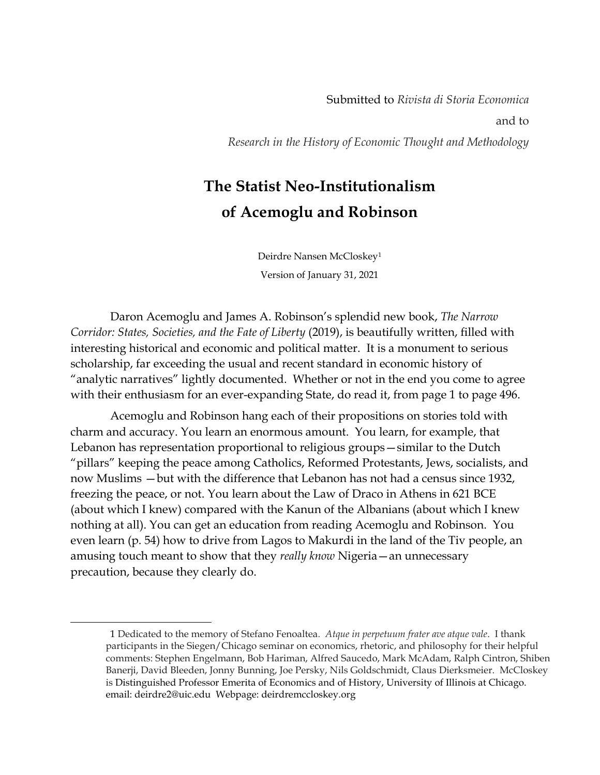Submitted to *Rivista di Storia Economica* and to *Research in the History of Economic Thought and Methodology*

## **The Statist Neo-Institutionalism of Acemoglu and Robinson**

Deirdre Nansen McCloskey<sup>1</sup> Version of January 31, 2021

Daron Acemoglu and James A. Robinson's splendid new book, *The Narrow Corridor: States, Societies, and the Fate of Liberty* (2019), is beautifully written, filled with interesting historical and economic and political matter. It is a monument to serious scholarship, far exceeding the usual and recent standard in economic history of "analytic narratives" lightly documented. Whether or not in the end you come to agree with their enthusiasm for an ever-expanding State, do read it, from page 1 to page 496.

Acemoglu and Robinson hang each of their propositions on stories told with charm and accuracy. You learn an enormous amount. You learn, for example, that Lebanon has representation proportional to religious groups—similar to the Dutch "pillars" keeping the peace among Catholics, Reformed Protestants, Jews, socialists, and now Muslims —but with the difference that Lebanon has not had a census since 1932, freezing the peace, or not. You learn about the Law of Draco in Athens in 621 BCE (about which I knew) compared with the Kanun of the Albanians (about which I knew nothing at all). You can get an education from reading Acemoglu and Robinson. You even learn (p. 54) how to drive from Lagos to Makurdi in the land of the Tiv people, an amusing touch meant to show that they *really know* Nigeria—an unnecessary precaution, because they clearly do.

<sup>1</sup> Dedicated to the memory of Stefano Fenoaltea*. Atque in perpetuum frater ave atque vale*. I thank participants in the Siegen/Chicago seminar on economics, rhetoric, and philosophy for their helpful comments: Stephen Engelmann, Bob Hariman, Alfred Saucedo, Mark McAdam, Ralph Cintron, Shiben Banerji, David Bleeden, Jonny Bunning, Joe Persky, Nils Goldschmidt, Claus Dierksmeier. McCloskey is Distinguished Professor Emerita of Economics and of History, University of Illinois at Chicago. email: deirdre2@uic.edu Webpage: deirdremccloskey.org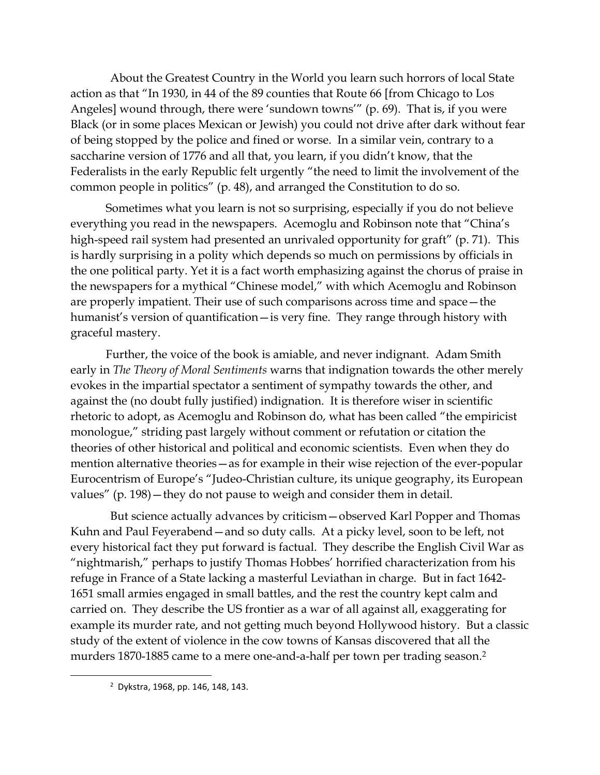About the Greatest Country in the World you learn such horrors of local State action as that "In 1930, in 44 of the 89 counties that Route 66 [from Chicago to Los Angeles] wound through, there were 'sundown towns'" (p. 69). That is, if you were Black (or in some places Mexican or Jewish) you could not drive after dark without fear of being stopped by the police and fined or worse. In a similar vein, contrary to a saccharine version of 1776 and all that, you learn, if you didn't know, that the Federalists in the early Republic felt urgently "the need to limit the involvement of the common people in politics" (p. 48), and arranged the Constitution to do so.

Sometimes what you learn is not so surprising, especially if you do not believe everything you read in the newspapers. Acemoglu and Robinson note that "China's high-speed rail system had presented an unrivaled opportunity for graft" (p. 71). This is hardly surprising in a polity which depends so much on permissions by officials in the one political party. Yet it is a fact worth emphasizing against the chorus of praise in the newspapers for a mythical "Chinese model," with which Acemoglu and Robinson are properly impatient. Their use of such comparisons across time and space—the humanist's version of quantification—is very fine. They range through history with graceful mastery.

Further, the voice of the book is amiable, and never indignant. Adam Smith early in *The Theory of Moral Sentiments* warns that indignation towards the other merely evokes in the impartial spectator a sentiment of sympathy towards the other, and against the (no doubt fully justified) indignation. It is therefore wiser in scientific rhetoric to adopt, as Acemoglu and Robinson do, what has been called "the empiricist monologue," striding past largely without comment or refutation or citation the theories of other historical and political and economic scientists. Even when they do mention alternative theories—as for example in their wise rejection of the ever-popular Eurocentrism of Europe's "Judeo-Christian culture, its unique geography, its European values" (p. 198)—they do not pause to weigh and consider them in detail.

But science actually advances by criticism—observed Karl Popper and Thomas Kuhn and Paul Feyerabend—and so duty calls. At a picky level, soon to be left, not every historical fact they put forward is factual. They describe the English Civil War as "nightmarish," perhaps to justify Thomas Hobbes' horrified characterization from his refuge in France of a State lacking a masterful Leviathan in charge. But in fact 1642- 1651 small armies engaged in small battles, and the rest the country kept calm and carried on. They describe the US frontier as a war of all against all, exaggerating for example its murder rate, and not getting much beyond Hollywood history. But a classic study of the extent of violence in the cow towns of Kansas discovered that all the murders 1870-1885 came to a mere one-and-a-half per town per trading season. 2

<sup>2</sup> Dykstra, 1968, pp. 146, 148, 143.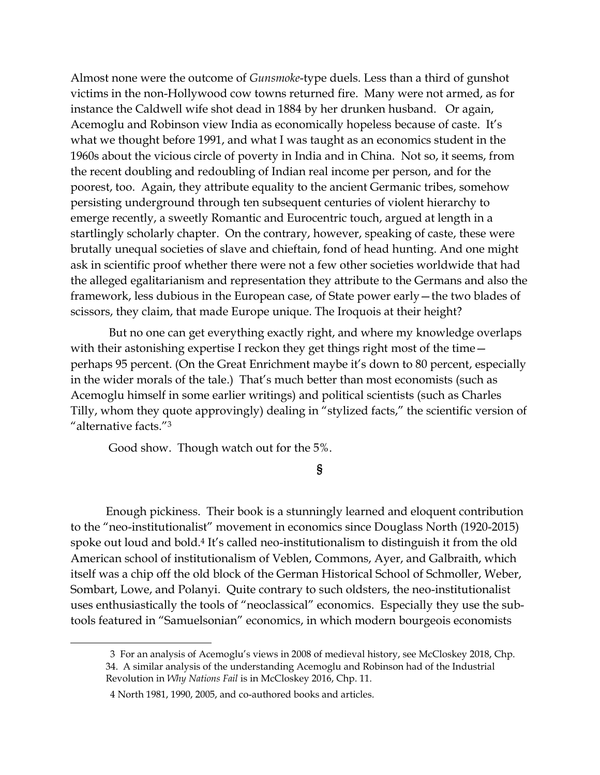Almost none were the outcome of *Gunsmoke*-type duels. Less than a third of gunshot victims in the non-Hollywood cow towns returned fire. Many were not armed, as for instance the Caldwell wife shot dead in 1884 by her drunken husband. Or again, Acemoglu and Robinson view India as economically hopeless because of caste. It's what we thought before 1991, and what I was taught as an economics student in the 1960s about the vicious circle of poverty in India and in China. Not so, it seems, from the recent doubling and redoubling of Indian real income per person, and for the poorest, too. Again, they attribute equality to the ancient Germanic tribes, somehow persisting underground through ten subsequent centuries of violent hierarchy to emerge recently, a sweetly Romantic and Eurocentric touch, argued at length in a startlingly scholarly chapter. On the contrary, however, speaking of caste, these were brutally unequal societies of slave and chieftain, fond of head hunting. And one might ask in scientific proof whether there were not a few other societies worldwide that had the alleged egalitarianism and representation they attribute to the Germans and also the framework, less dubious in the European case, of State power early—the two blades of scissors, they claim, that made Europe unique. The Iroquois at their height?

But no one can get everything exactly right, and where my knowledge overlaps with their astonishing expertise I reckon they get things right most of the time perhaps 95 percent. (On the Great Enrichment maybe it's down to 80 percent, especially in the wider morals of the tale.) That's much better than most economists (such as Acemoglu himself in some earlier writings) and political scientists (such as Charles Tilly, whom they quote approvingly) dealing in "stylized facts," the scientific version of "alternative facts."<sup>3</sup>

Good show. Though watch out for the 5%.

**§**

Enough pickiness. Their book is a stunningly learned and eloquent contribution to the "neo-institutionalist" movement in economics since Douglass North (1920-2015) spoke out loud and bold.<sup>4</sup> It's called neo-institutionalism to distinguish it from the old American school of institutionalism of Veblen, Commons, Ayer, and Galbraith, which itself was a chip off the old block of the German Historical School of Schmoller, Weber, Sombart, Lowe, and Polanyi. Quite contrary to such oldsters, the neo-institutionalist uses enthusiastically the tools of "neoclassical" economics. Especially they use the subtools featured in "Samuelsonian" economics, in which modern bourgeois economists

<sup>3</sup> For an analysis of Acemoglu's views in 2008 of medieval history, see McCloskey 2018, Chp. 34. A similar analysis of the understanding Acemoglu and Robinson had of the Industrial Revolution in *Why Nations Fail* is in McCloskey 2016, Chp. 11.

<sup>4</sup> North 1981, 1990, 2005, and co-authored books and articles.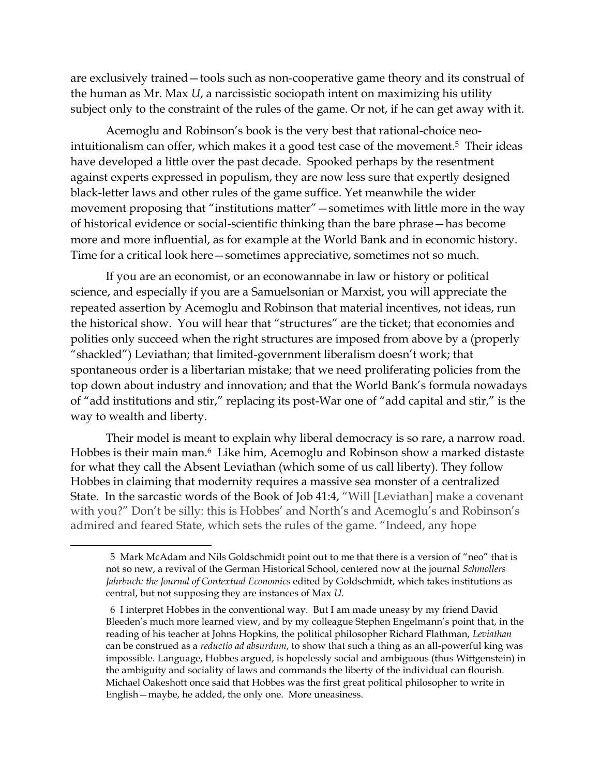are exclusively trained—tools such as non-cooperative game theory and its construal of the human as Mr. Max *U*, a narcissistic sociopath intent on maximizing his utility subject only to the constraint of the rules of the game. Or not, if he can get away with it.

Acemoglu and Robinson's book is the very best that rational-choice neointuitionalism can offer, which makes it a good test case of the movement. <sup>5</sup> Their ideas have developed a little over the past decade. Spooked perhaps by the resentment against experts expressed in populism, they are now less sure that expertly designed black-letter laws and other rules of the game suffice. Yet meanwhile the wider movement proposing that "institutions matter"—sometimes with little more in the way of historical evidence or social-scientific thinking than the bare phrase—has become more and more influential, as for example at the World Bank and in economic history. Time for a critical look here—sometimes appreciative, sometimes not so much.

If you are an economist, or an econowannabe in law or history or political science, and especially if you are a Samuelsonian or Marxist, you will appreciate the repeated assertion by Acemoglu and Robinson that material incentives, not ideas, run the historical show. You will hear that "structures" are the ticket; that economies and polities only succeed when the right structures are imposed from above by a (properly "shackled") Leviathan; that limited-government liberalism doesn't work; that spontaneous order is a libertarian mistake; that we need proliferating policies from the top down about industry and innovation; and that the World Bank's formula nowadays of "add institutions and stir," replacing its post-War one of "add capital and stir," is the way to wealth and liberty.

Their model is meant to explain why liberal democracy is so rare, a narrow road. Hobbes is their main man. <sup>6</sup> Like him, Acemoglu and Robinson show a marked distaste for what they call the Absent Leviathan (which some of us call liberty). They follow Hobbes in claiming that modernity requires a massive sea monster of a centralized State. In the sarcastic words of the Book of Job 41:4, "Will [Leviathan] make a covenant with you?" Don't be silly: this is Hobbes' and North's and Acemoglu's and Robinson's admired and feared State, which sets the rules of the game. "Indeed, any hope

<sup>5</sup> Mark McAdam and Nils Goldschmidt point out to me that there is a version of "neo" that is not so new, a revival of the German Historical School, centered now at the journal *Schmollers Jahrbuch: the Journal of Contextual Economics* edited by Goldschmidt, which takes institutions as central, but not supposing they are instances of Max *U.*

<sup>6</sup> I interpret Hobbes in the conventional way. But I am made uneasy by my friend David Bleeden's much more learned view, and by my colleague Stephen Engelmann's point that, in the reading of his teacher at Johns Hopkins, the political philosopher Richard Flathman, *Leviathan* can be construed as a *reductio ad absurdum*, to show that such a thing as an all-powerful king was impossible. Language, Hobbes argued, is hopelessly social and ambiguous (thus Wittgenstein) in the ambiguity and sociality of laws and commands the liberty of the individual can flourish. Michael Oakeshott once said that Hobbes was the first great political philosopher to write in English—maybe, he added, the only one. More uneasiness.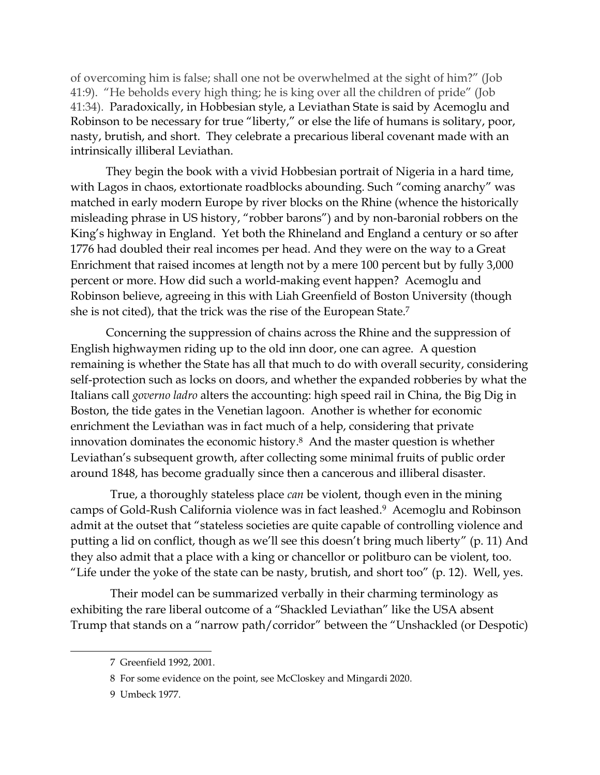of overcoming him is false; shall one not be overwhelmed at the sight of him?" (Job 41:9). "He beholds every high thing; he is king over all the children of pride" (Job 41:34). Paradoxically, in Hobbesian style, a Leviathan State is said by Acemoglu and Robinson to be necessary for true "liberty," or else the life of humans is solitary, poor, nasty, brutish, and short. They celebrate a precarious liberal covenant made with an intrinsically illiberal Leviathan.

They begin the book with a vivid Hobbesian portrait of Nigeria in a hard time, with Lagos in chaos, extortionate roadblocks abounding. Such "coming anarchy" was matched in early modern Europe by river blocks on the Rhine (whence the historically misleading phrase in US history, "robber barons") and by non-baronial robbers on the King's highway in England. Yet both the Rhineland and England a century or so after 1776 had doubled their real incomes per head. And they were on the way to a Great Enrichment that raised incomes at length not by a mere 100 percent but by fully 3,000 percent or more. How did such a world-making event happen? Acemoglu and Robinson believe, agreeing in this with Liah Greenfield of Boston University (though she is not cited), that the trick was the rise of the European State.<sup>7</sup>

Concerning the suppression of chains across the Rhine and the suppression of English highwaymen riding up to the old inn door, one can agree. A question remaining is whether the State has all that much to do with overall security, considering self-protection such as locks on doors, and whether the expanded robberies by what the Italians call *governo ladro* alters the accounting: high speed rail in China, the Big Dig in Boston, the tide gates in the Venetian lagoon. Another is whether for economic enrichment the Leviathan was in fact much of a help, considering that private innovation dominates the economic history. <sup>8</sup> And the master question is whether Leviathan's subsequent growth, after collecting some minimal fruits of public order around 1848, has become gradually since then a cancerous and illiberal disaster.

True, a thoroughly stateless place *can* be violent, though even in the mining camps of Gold-Rush California violence was in fact leashed. <sup>9</sup> Acemoglu and Robinson admit at the outset that "stateless societies are quite capable of controlling violence and putting a lid on conflict, though as we'll see this doesn't bring much liberty" (p. 11) And they also admit that a place with a king or chancellor or politburo can be violent, too. "Life under the yoke of the state can be nasty, brutish, and short too"  $(p. 12)$ . Well, yes.

Their model can be summarized verbally in their charming terminology as exhibiting the rare liberal outcome of a "Shackled Leviathan" like the USA absent Trump that stands on a "narrow path/corridor" between the "Unshackled (or Despotic)

<sup>7</sup> Greenfield 1992, 2001.

<sup>8</sup> For some evidence on the point, see McCloskey and Mingardi 2020.

<sup>9</sup> Umbeck 1977.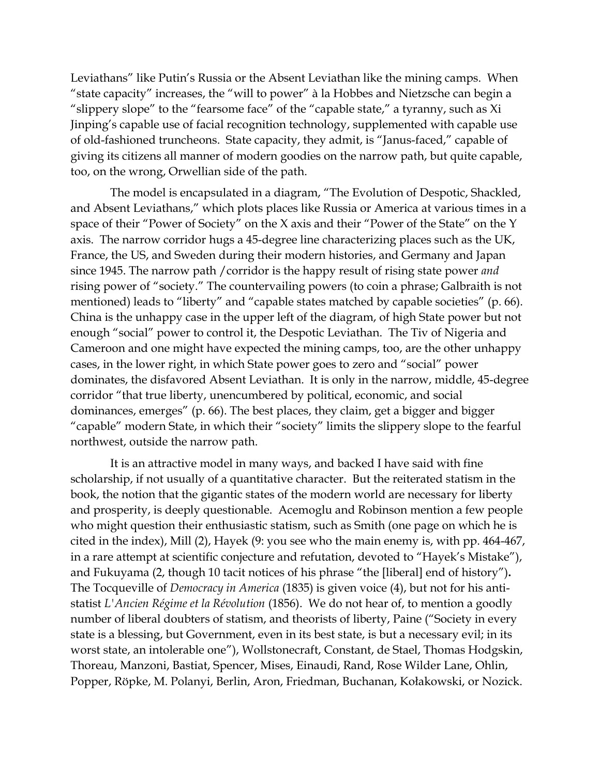Leviathans" like Putin's Russia or the Absent Leviathan like the mining camps. When "state capacity" increases, the "will to power" à la Hobbes and Nietzsche can begin a "slippery slope" to the "fearsome face" of the "capable state," a tyranny, such as Xi Jinping's capable use of facial recognition technology, supplemented with capable use of old-fashioned truncheons. State capacity, they admit, is "Janus-faced," capable of giving its citizens all manner of modern goodies on the narrow path, but quite capable, too, on the wrong, Orwellian side of the path.

The model is encapsulated in a diagram, "The Evolution of Despotic, Shackled, and Absent Leviathans," which plots places like Russia or America at various times in a space of their "Power of Society" on the X axis and their "Power of the State" on the Y axis. The narrow corridor hugs a 45-degree line characterizing places such as the UK, France, the US, and Sweden during their modern histories, and Germany and Japan since 1945. The narrow path /corridor is the happy result of rising state power *and* rising power of "society." The countervailing powers (to coin a phrase; Galbraith is not mentioned) leads to "liberty" and "capable states matched by capable societies" (p. 66). China is the unhappy case in the upper left of the diagram, of high State power but not enough "social" power to control it, the Despotic Leviathan. The Tiv of Nigeria and Cameroon and one might have expected the mining camps, too, are the other unhappy cases, in the lower right, in which State power goes to zero and "social" power dominates, the disfavored Absent Leviathan. It is only in the narrow, middle, 45-degree corridor "that true liberty, unencumbered by political, economic, and social dominances, emerges" (p. 66). The best places, they claim, get a bigger and bigger "capable" modern State, in which their "society" limits the slippery slope to the fearful northwest, outside the narrow path.

It is an attractive model in many ways, and backed I have said with fine scholarship, if not usually of a quantitative character. But the reiterated statism in the book, the notion that the gigantic states of the modern world are necessary for liberty and prosperity, is deeply questionable. Acemoglu and Robinson mention a few people who might question their enthusiastic statism, such as Smith (one page on which he is cited in the index), Mill (2), Hayek (9: you see who the main enemy is, with pp. 464-467, in a rare attempt at scientific conjecture and refutation, devoted to "Hayek's Mistake"), and Fukuyama (2, though 10 tacit notices of his phrase "the [liberal] end of history")**.**  The Tocqueville of *Democracy in America* (1835) is given voice (4), but not for his antistatist *L'Ancien Régime et la Révolution* (1856). We do not hear of, to mention a goodly number of liberal doubters of statism, and theorists of liberty, Paine ("Society in every state is a blessing, but Government, even in its best state, is but a necessary evil; in its worst state, an intolerable one"), Wollstonecraft, Constant, de Stael, Thomas Hodgskin, Thoreau, Manzoni, Bastiat, Spencer, Mises, Einaudi, Rand, Rose Wilder Lane, Ohlin, Popper, Röpke, M. Polanyi, Berlin, Aron, Friedman, Buchanan, Kołakowski, or Nozick.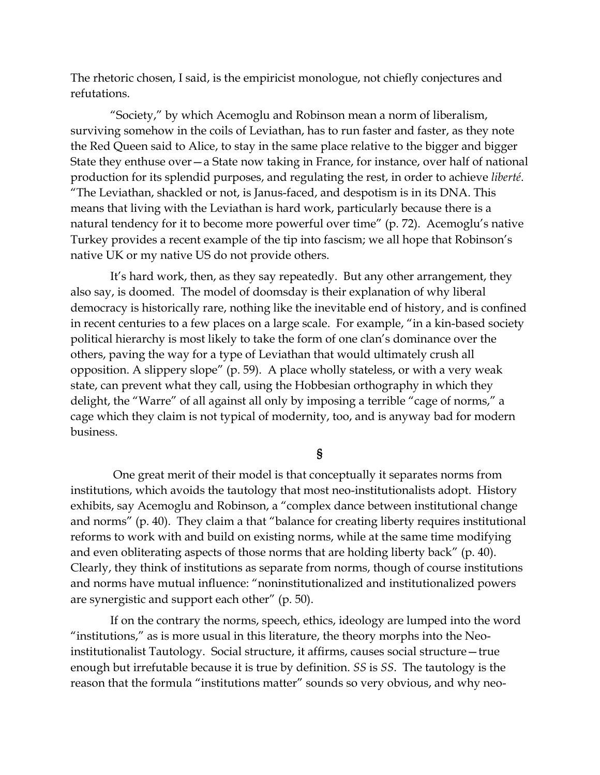The rhetoric chosen, I said, is the empiricist monologue, not chiefly conjectures and refutations.

"Society," by which Acemoglu and Robinson mean a norm of liberalism, surviving somehow in the coils of Leviathan, has to run faster and faster, as they note the Red Queen said to Alice, to stay in the same place relative to the bigger and bigger State they enthuse over—a State now taking in France, for instance, over half of national production for its splendid purposes, and regulating the rest, in order to achieve *liberté*. "The Leviathan, shackled or not, is Janus-faced, and despotism is in its DNA. This means that living with the Leviathan is hard work, particularly because there is a natural tendency for it to become more powerful over time" (p. 72). Acemoglu's native Turkey provides a recent example of the tip into fascism; we all hope that Robinson's native UK or my native US do not provide others.

It's hard work, then, as they say repeatedly. But any other arrangement, they also say, is doomed. The model of doomsday is their explanation of why liberal democracy is historically rare, nothing like the inevitable end of history, and is confined in recent centuries to a few places on a large scale. For example, "in a kin-based society political hierarchy is most likely to take the form of one clan's dominance over the others, paving the way for a type of Leviathan that would ultimately crush all opposition. A slippery slope" (p. 59). A place wholly stateless, or with a very weak state, can prevent what they call, using the Hobbesian orthography in which they delight, the "Warre" of all against all only by imposing a terrible "cage of norms," a cage which they claim is not typical of modernity, too, and is anyway bad for modern business.

**§**

One great merit of their model is that conceptually it separates norms from institutions, which avoids the tautology that most neo-institutionalists adopt. History exhibits, say Acemoglu and Robinson, a "complex dance between institutional change and norms" (p. 40). They claim a that "balance for creating liberty requires institutional reforms to work with and build on existing norms, while at the same time modifying and even obliterating aspects of those norms that are holding liberty back" (p. 40). Clearly, they think of institutions as separate from norms, though of course institutions and norms have mutual influence: "noninstitutionalized and institutionalized powers are synergistic and support each other" (p. 50).

If on the contrary the norms, speech, ethics, ideology are lumped into the word "institutions," as is more usual in this literature, the theory morphs into the Neoinstitutionalist Tautology. Social structure, it affirms, causes social structure—true enough but irrefutable because it is true by definition. *SS* is *SS*. The tautology is the reason that the formula "institutions matter" sounds so very obvious, and why neo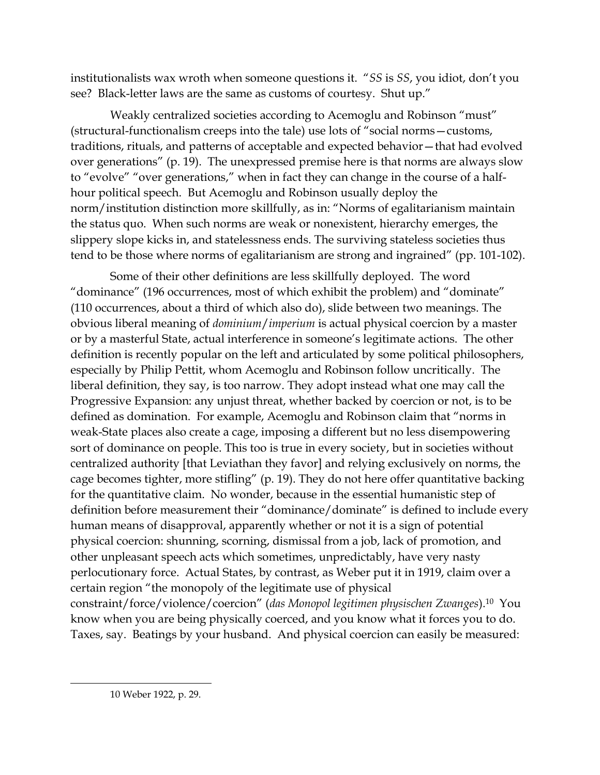institutionalists wax wroth when someone questions it. "*SS* is *SS*, you idiot, don't you see? Black-letter laws are the same as customs of courtesy. Shut up."

Weakly centralized societies according to Acemoglu and Robinson "must" (structural-functionalism creeps into the tale) use lots of "social norms—customs, traditions, rituals, and patterns of acceptable and expected behavior—that had evolved over generations" (p. 19). The unexpressed premise here is that norms are always slow to "evolve" "over generations," when in fact they can change in the course of a halfhour political speech. But Acemoglu and Robinson usually deploy the norm/institution distinction more skillfully, as in: "Norms of egalitarianism maintain the status quo. When such norms are weak or nonexistent, hierarchy emerges, the slippery slope kicks in, and statelessness ends. The surviving stateless societies thus tend to be those where norms of egalitarianism are strong and ingrained" (pp. 101-102).

Some of their other definitions are less skillfully deployed. The word "dominance" (196 occurrences, most of which exhibit the problem) and "dominate" (110 occurrences, about a third of which also do), slide between two meanings. The obvious liberal meaning of *dominium*/*imperium* is actual physical coercion by a master or by a masterful State, actual interference in someone's legitimate actions. The other definition is recently popular on the left and articulated by some political philosophers, especially by Philip Pettit, whom Acemoglu and Robinson follow uncritically. The liberal definition, they say, is too narrow. They adopt instead what one may call the Progressive Expansion: any unjust threat, whether backed by coercion or not, is to be defined as domination. For example, Acemoglu and Robinson claim that "norms in weak-State places also create a cage, imposing a different but no less disempowering sort of dominance on people. This too is true in every society, but in societies without centralized authority [that Leviathan they favor] and relying exclusively on norms, the cage becomes tighter, more stifling" (p. 19). They do not here offer quantitative backing for the quantitative claim. No wonder, because in the essential humanistic step of definition before measurement their "dominance/dominate" is defined to include every human means of disapproval, apparently whether or not it is a sign of potential physical coercion: shunning, scorning, dismissal from a job, lack of promotion, and other unpleasant speech acts which sometimes, unpredictably, have very nasty perlocutionary force. Actual States, by contrast, as Weber put it in 1919, claim over a certain region "the monopoly of the legitimate use of physical constraint/force/violence/coercion" (*das Monopol legitimen physischen Zwanges*).10 You know when you are being physically coerced, and you know what it forces you to do. Taxes, say. Beatings by your husband. And physical coercion can easily be measured: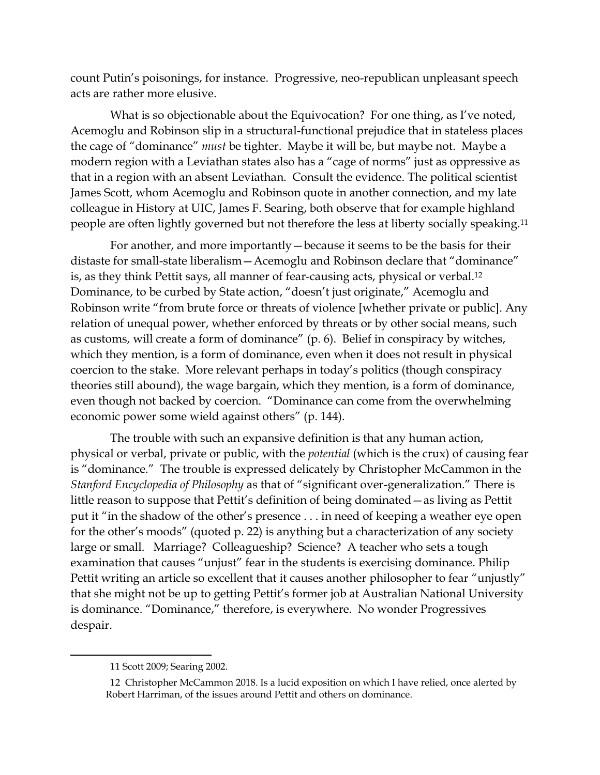count Putin's poisonings, for instance. Progressive, neo-republican unpleasant speech acts are rather more elusive.

What is so objectionable about the Equivocation? For one thing, as I've noted, Acemoglu and Robinson slip in a structural-functional prejudice that in stateless places the cage of "dominance" *must* be tighter. Maybe it will be, but maybe not. Maybe a modern region with a Leviathan states also has a "cage of norms" just as oppressive as that in a region with an absent Leviathan. Consult the evidence. The political scientist James Scott, whom Acemoglu and Robinson quote in another connection, and my late colleague in History at UIC, James F. Searing, both observe that for example highland people are often lightly governed but not therefore the less at liberty socially speaking. 11

For another, and more importantly—because it seems to be the basis for their distaste for small-state liberalism—Acemoglu and Robinson declare that "dominance" is, as they think Pettit says, all manner of fear-causing acts, physical or verbal. 12 Dominance, to be curbed by State action, "doesn't just originate," Acemoglu and Robinson write "from brute force or threats of violence [whether private or public]. Any relation of unequal power, whether enforced by threats or by other social means, such as customs, will create a form of dominance" (p. 6). Belief in conspiracy by witches, which they mention, is a form of dominance, even when it does not result in physical coercion to the stake. More relevant perhaps in today's politics (though conspiracy theories still abound), the wage bargain, which they mention, is a form of dominance, even though not backed by coercion. "Dominance can come from the overwhelming economic power some wield against others" (p. 144).

The trouble with such an expansive definition is that any human action, physical or verbal, private or public, with the *potential* (which is the crux) of causing fear is "dominance." The trouble is expressed delicately by Christopher McCammon in the *Stanford Encyclopedia of Philosophy* as that of "significant over-generalization." There is little reason to suppose that Pettit's definition of being dominated—as living as Pettit put it "in the shadow of the other's presence . . . in need of keeping a weather eye open for the other's moods" (quoted p. 22) is anything but a characterization of any society large or small. Marriage? Colleagueship? Science? A teacher who sets a tough examination that causes "unjust" fear in the students is exercising dominance. Philip Pettit writing an article so excellent that it causes another philosopher to fear "unjustly" that she might not be up to getting Pettit's former job at Australian National University is dominance. "Dominance," therefore, is everywhere. No wonder Progressives despair.

<sup>11</sup> Scott 2009; Searing 2002.

<sup>12</sup> Christopher McCammon 2018. Is a lucid exposition on which I have relied, once alerted by Robert Harriman, of the issues around Pettit and others on dominance.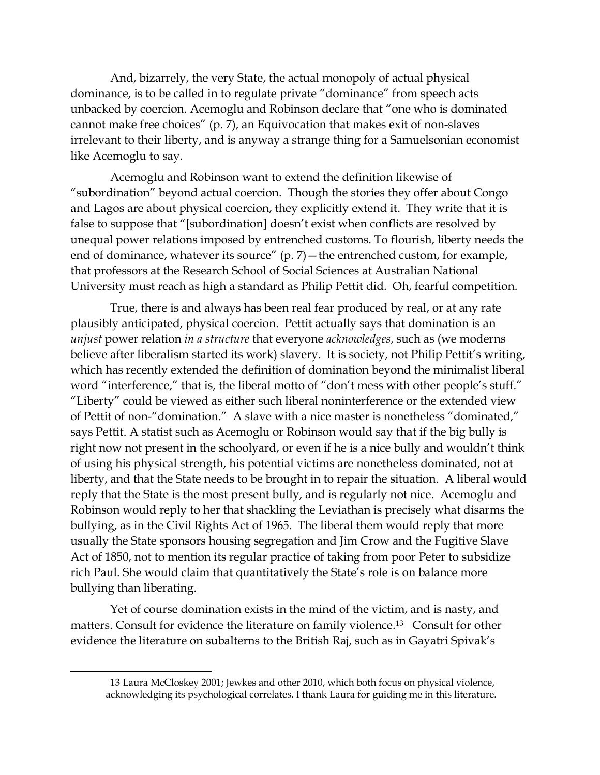And, bizarrely, the very State, the actual monopoly of actual physical dominance, is to be called in to regulate private "dominance" from speech acts unbacked by coercion. Acemoglu and Robinson declare that "one who is dominated cannot make free choices" (p. 7), an Equivocation that makes exit of non-slaves irrelevant to their liberty, and is anyway a strange thing for a Samuelsonian economist like Acemoglu to say.

Acemoglu and Robinson want to extend the definition likewise of "subordination" beyond actual coercion. Though the stories they offer about Congo and Lagos are about physical coercion, they explicitly extend it. They write that it is false to suppose that "[subordination] doesn't exist when conflicts are resolved by unequal power relations imposed by entrenched customs. To flourish, liberty needs the end of dominance, whatever its source" (p. 7) – the entrenched custom, for example, that professors at the Research School of Social Sciences at Australian National University must reach as high a standard as Philip Pettit did. Oh, fearful competition.

True, there is and always has been real fear produced by real, or at any rate plausibly anticipated, physical coercion. Pettit actually says that domination is an *unjust* power relation *in a structure* that everyone *acknowledges*, such as (we moderns believe after liberalism started its work) slavery. It is society, not Philip Pettit's writing, which has recently extended the definition of domination beyond the minimalist liberal word "interference," that is, the liberal motto of "don't mess with other people's stuff." "Liberty" could be viewed as either such liberal noninterference or the extended view of Pettit of non-"domination." A slave with a nice master is nonetheless "dominated," says Pettit. A statist such as Acemoglu or Robinson would say that if the big bully is right now not present in the schoolyard, or even if he is a nice bully and wouldn't think of using his physical strength, his potential victims are nonetheless dominated, not at liberty, and that the State needs to be brought in to repair the situation. A liberal would reply that the State is the most present bully, and is regularly not nice. Acemoglu and Robinson would reply to her that shackling the Leviathan is precisely what disarms the bullying, as in the Civil Rights Act of 1965. The liberal them would reply that more usually the State sponsors housing segregation and Jim Crow and the Fugitive Slave Act of 1850, not to mention its regular practice of taking from poor Peter to subsidize rich Paul. She would claim that quantitatively the State's role is on balance more bullying than liberating.

Yet of course domination exists in the mind of the victim, and is nasty, and matters. Consult for evidence the literature on family violence.<sup>13</sup> Consult for other evidence the literature on subalterns to the British Raj, such as in Gayatri Spivak's

<sup>13</sup> Laura McCloskey 2001; Jewkes and other 2010, which both focus on physical violence, acknowledging its psychological correlates. I thank Laura for guiding me in this literature.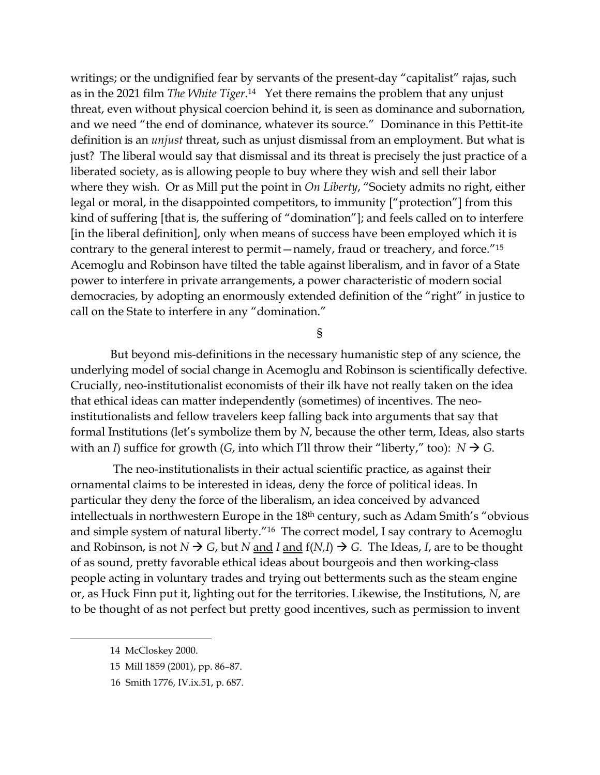writings; or the undignified fear by servants of the present-day "capitalist" rajas, such as in the 2021 film *The White Tiger*. <sup>14</sup> Yet there remains the problem that any unjust threat, even without physical coercion behind it, is seen as dominance and subornation, and we need "the end of dominance, whatever its source." Dominance in this Pettit-ite definition is an *unjust* threat, such as unjust dismissal from an employment. But what is just? The liberal would say that dismissal and its threat is precisely the just practice of a liberated society, as is allowing people to buy where they wish and sell their labor where they wish. Or as Mill put the point in *On Liberty*, "Society admits no right, either legal or moral, in the disappointed competitors, to immunity ["protection"] from this kind of suffering [that is, the suffering of "domination"]; and feels called on to interfere [in the liberal definition], only when means of success have been employed which it is contrary to the general interest to permit—namely, fraud or treachery, and force."<sup>15</sup> Acemoglu and Robinson have tilted the table against liberalism, and in favor of a State power to interfere in private arrangements, a power characteristic of modern social democracies, by adopting an enormously extended definition of the "right" in justice to call on the State to interfere in any "domination."

§

But beyond mis-definitions in the necessary humanistic step of any science, the underlying model of social change in Acemoglu and Robinson is scientifically defective. Crucially, neo-institutionalist economists of their ilk have not really taken on the idea that ethical ideas can matter independently (sometimes) of incentives. The neoinstitutionalists and fellow travelers keep falling back into arguments that say that formal Institutions (let's symbolize them by *N*, because the other term, Ideas, also starts with an *I*) suffice for growth (*G*, into which I'll throw their "liberty," too):  $N \rightarrow G$ .

The neo-institutionalists in their actual scientific practice, as against their ornamental claims to be interested in ideas, deny the force of political ideas. In particular they deny the force of the liberalism, an idea conceived by advanced intellectuals in northwestern Europe in the 18th century, such as Adam Smith's "obvious and simple system of natural liberty."<sup>16</sup> The correct model, I say contrary to Acemoglu and Robinson, is not  $N \rightarrow G$ , but  $N$  and  $I$  and  $f(N,I) \rightarrow G$ . The Ideas,  $I$ , are to be thought of as sound, pretty favorable ethical ideas about bourgeois and then working-class people acting in voluntary trades and trying out betterments such as the steam engine or, as Huck Finn put it, lighting out for the territories. Likewise, the Institutions, *N*, are to be thought of as not perfect but pretty good incentives, such as permission to invent

<sup>14</sup> McCloskey 2000.

<sup>15</sup> Mill 1859 (2001), pp. 86–87.

 <sup>16</sup> Smith 1776, IV.ix.51, p. 687.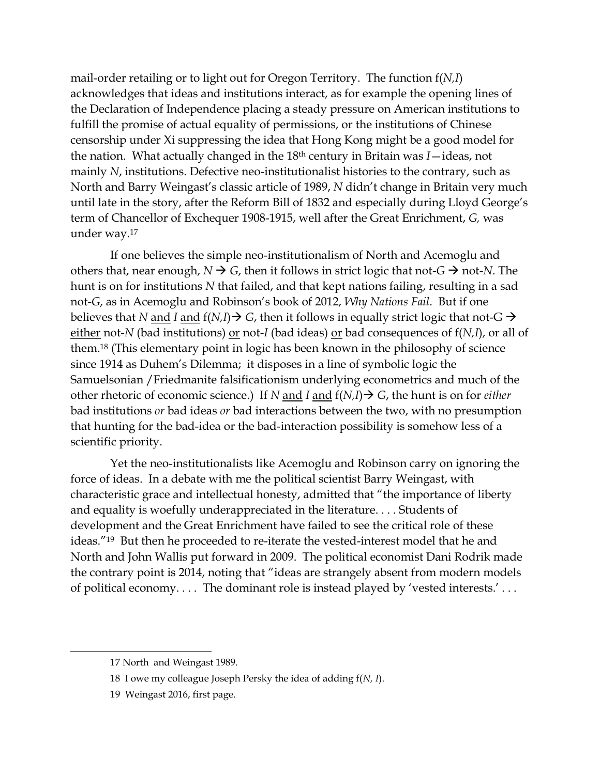mail-order retailing or to light out for Oregon Territory. The function f(*N,I*) acknowledges that ideas and institutions interact, as for example the opening lines of the Declaration of Independence placing a steady pressure on American institutions to fulfill the promise of actual equality of permissions, or the institutions of Chinese censorship under Xi suppressing the idea that Hong Kong might be a good model for the nation. What actually changed in the 18th century in Britain was *I*—ideas, not mainly *N*, institutions. Defective neo-institutionalist histories to the contrary, such as North and Barry Weingast's classic article of 1989, *N* didn't change in Britain very much until late in the story, after the Reform Bill of 1832 and especially during Lloyd George's term of Chancellor of Exchequer 1908-1915, well after the Great Enrichment, *G,* was under way. 17

If one believes the simple neo-institutionalism of North and Acemoglu and others that, near enough,  $N \rightarrow G$ , then it follows in strict logic that not- $G \rightarrow$  not-*N*. The hunt is on for institutions *N* that failed, and that kept nations failing, resulting in a sad not-*G*, as in Acemoglu and Robinson's book of 2012, *Why Nations Fail*. But if one believes that *N* and *I* and  $f(N,I) \rightarrow G$ , then it follows in equally strict logic that not-G  $\rightarrow$ either not-*N* (bad institutions) <u>or</u> not-*I* (bad ideas) <u>or</u> bad consequences of  $f(N,I)$ , or all of them. <sup>18</sup> (This elementary point in logic has been known in the philosophy of science since 1914 as Duhem's Dilemma; it disposes in a line of symbolic logic the Samuelsonian /Friedmanite falsificationism underlying econometrics and much of the other rhetoric of economic science.) If *N* and *I* and f(*N,I*)→ *G*, the hunt is on for *either* bad institutions *or* bad ideas *or* bad interactions between the two, with no presumption that hunting for the bad-idea or the bad-interaction possibility is somehow less of a scientific priority.

Yet the neo-institutionalists like Acemoglu and Robinson carry on ignoring the force of ideas. In a debate with me the political scientist Barry Weingast, with characteristic grace and intellectual honesty, admitted that "the importance of liberty and equality is woefully underappreciated in the literature. . . . Students of development and the Great Enrichment have failed to see the critical role of these ideas."19 But then he proceeded to re-iterate the vested-interest model that he and North and John Wallis put forward in 2009. The political economist Dani Rodrik made the contrary point is 2014, noting that "ideas are strangely absent from modern models of political economy. . . . The dominant role is instead played by 'vested interests.' . . .

<sup>17</sup> North and Weingast 1989.

<sup>18</sup> I owe my colleague Joseph Persky the idea of adding f(*N, I*).

<sup>19</sup> Weingast 2016, first page.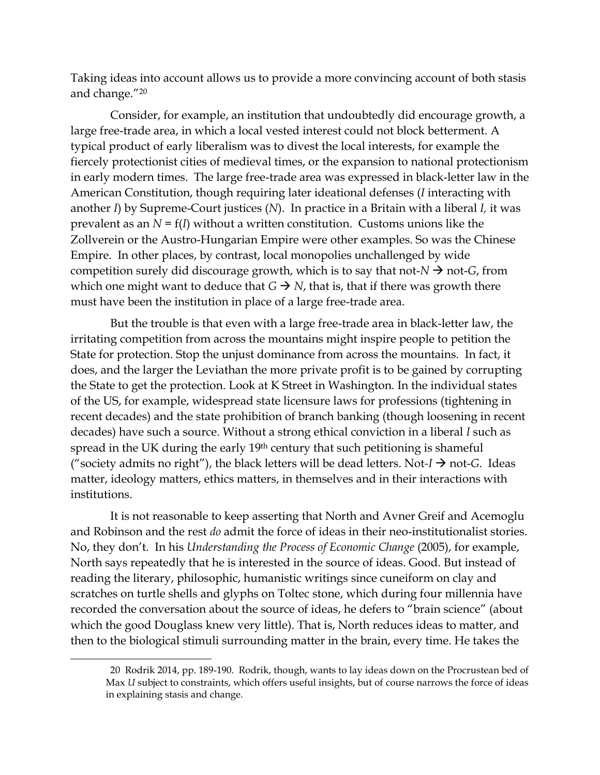Taking ideas into account allows us to provide a more convincing account of both stasis and change."<sup>20</sup>

Consider, for example, an institution that undoubtedly did encourage growth, a large free-trade area, in which a local vested interest could not block betterment. A typical product of early liberalism was to divest the local interests, for example the fiercely protectionist cities of medieval times, or the expansion to national protectionism in early modern times. The large free-trade area was expressed in black-letter law in the American Constitution, though requiring later ideational defenses (*I* interacting with another *I*) by Supreme-Court justices (*N*). In practice in a Britain with a liberal *I,* it was prevalent as an  $N = f(I)$  without a written constitution. Customs unions like the Zollverein or the Austro-Hungarian Empire were other examples. So was the Chinese Empire. In other places, by contrast, local monopolies unchallenged by wide competition surely did discourage growth, which is to say that not- $N \rightarrow$  not-*G*, from which one might want to deduce that  $G \rightarrow N$ , that is, that if there was growth there must have been the institution in place of a large free-trade area.

But the trouble is that even with a large free-trade area in black-letter law, the irritating competition from across the mountains might inspire people to petition the State for protection. Stop the unjust dominance from across the mountains. In fact, it does, and the larger the Leviathan the more private profit is to be gained by corrupting the State to get the protection. Look at K Street in Washington. In the individual states of the US, for example, widespread state licensure laws for professions (tightening in recent decades) and the state prohibition of branch banking (though loosening in recent decades) have such a source. Without a strong ethical conviction in a liberal *I* such as spread in the UK during the early 19<sup>th</sup> century that such petitioning is shameful ("society admits no right"), the black letters will be dead letters. Not- $I \rightarrow$  not-*G*. Ideas matter, ideology matters, ethics matters, in themselves and in their interactions with institutions.

It is not reasonable to keep asserting that North and Avner Greif and Acemoglu and Robinson and the rest *do* admit the force of ideas in their neo-institutionalist stories. No, they don't. In his *Understanding the Process of Economic Change* (2005), for example, North says repeatedly that he is interested in the source of ideas. Good. But instead of reading the literary, philosophic, humanistic writings since cuneiform on clay and scratches on turtle shells and glyphs on Toltec stone, which during four millennia have recorded the conversation about the source of ideas, he defers to "brain science" (about which the good Douglass knew very little). That is, North reduces ideas to matter, and then to the biological stimuli surrounding matter in the brain, every time. He takes the

<sup>20</sup> Rodrik 2014, pp. 189-190. Rodrik, though, wants to lay ideas down on the Procrustean bed of Max *U* subject to constraints, which offers useful insights, but of course narrows the force of ideas in explaining stasis and change.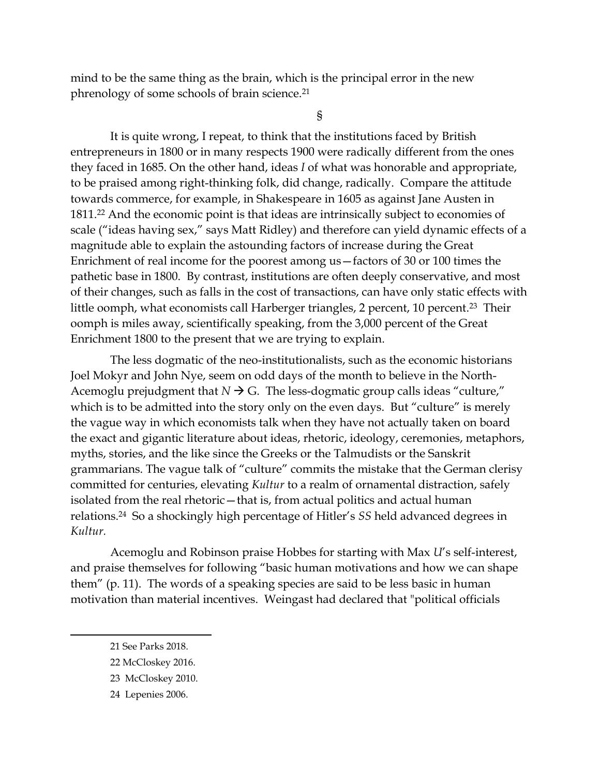mind to be the same thing as the brain, which is the principal error in the new phrenology of some schools of brain science.<sup>21</sup>

§

It is quite wrong, I repeat, to think that the institutions faced by British entrepreneurs in 1800 or in many respects 1900 were radically different from the ones they faced in 1685. On the other hand, ideas *I* of what was honorable and appropriate, to be praised among right-thinking folk, did change, radically. Compare the attitude towards commerce, for example, in Shakespeare in 1605 as against Jane Austen in 1811. <sup>22</sup> And the economic point is that ideas are intrinsically subject to economies of scale ("ideas having sex," says Matt Ridley) and therefore can yield dynamic effects of a magnitude able to explain the astounding factors of increase during the Great Enrichment of real income for the poorest among us—factors of 30 or 100 times the pathetic base in 1800. By contrast, institutions are often deeply conservative, and most of their changes, such as falls in the cost of transactions, can have only static effects with little oomph, what economists call Harberger triangles, 2 percent, 10 percent. <sup>23</sup> Their oomph is miles away, scientifically speaking, from the 3,000 percent of the Great Enrichment 1800 to the present that we are trying to explain.

The less dogmatic of the neo-institutionalists, such as the economic historians Joel Mokyr and John Nye, seem on odd days of the month to believe in the North-Acemoglu prejudgment that  $N \rightarrow G$ . The less-dogmatic group calls ideas "culture," which is to be admitted into the story only on the even days. But "culture" is merely the vague way in which economists talk when they have not actually taken on board the exact and gigantic literature about ideas, rhetoric, ideology, ceremonies, metaphors, myths, stories, and the like since the Greeks or the Talmudists or the Sanskrit grammarians. The vague talk of "culture" commits the mistake that the German clerisy committed for centuries, elevating *Kultur* to a realm of ornamental distraction, safely isolated from the real rhetoric—that is, from actual politics and actual human relations.<sup>24</sup> So a shockingly high percentage of Hitler's *SS* held advanced degrees in *Kultur.*

Acemoglu and Robinson praise Hobbes for starting with Max *U*'s self-interest, and praise themselves for following "basic human motivations and how we can shape them" (p. 11). The words of a speaking species are said to be less basic in human motivation than material incentives. Weingast had declared that "political officials

24 Lepenies 2006.

<sup>21</sup> See Parks 2018.

<sup>22</sup> McCloskey 2016.

<sup>23</sup> McCloskey 2010.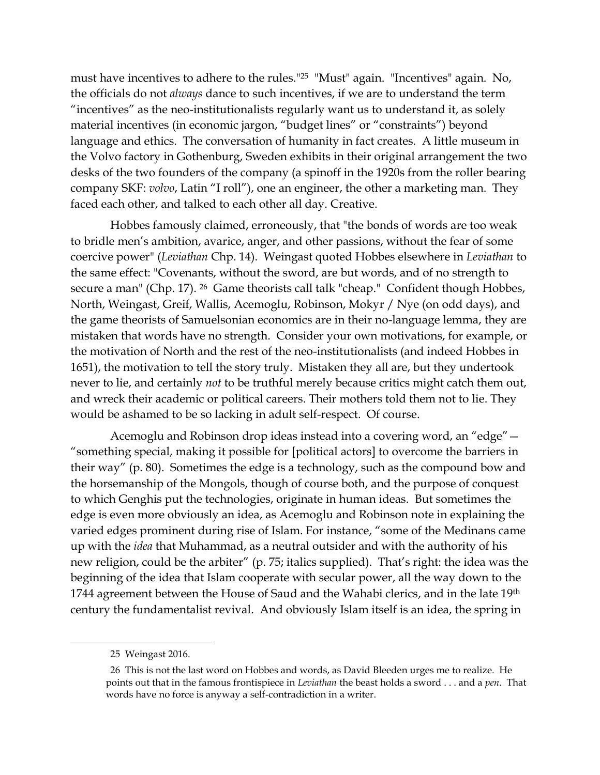must have incentives to adhere to the rules."25 "Must" again. "Incentives" again. No, the officials do not *always* dance to such incentives, if we are to understand the term "incentives" as the neo-institutionalists regularly want us to understand it, as solely material incentives (in economic jargon, "budget lines" or "constraints") beyond language and ethics. The conversation of humanity in fact creates. A little museum in the Volvo factory in Gothenburg, Sweden exhibits in their original arrangement the two desks of the two founders of the company (a spinoff in the 1920s from the roller bearing company SKF: *volvo*, Latin "I roll"), one an engineer, the other a marketing man. They faced each other, and talked to each other all day. Creative.

Hobbes famously claimed, erroneously, that "the bonds of words are too weak to bridle men's ambition, avarice, anger, and other passions, without the fear of some coercive power" (*Leviathan* Chp. 14). Weingast quoted Hobbes elsewhere in *Leviathan* to the same effect: "Covenants, without the sword, are but words, and of no strength to secure a man" (Chp. 17). <sup>26</sup> Game theorists call talk "cheap." Confident though Hobbes, North, Weingast, Greif, Wallis, Acemoglu, Robinson, Mokyr / Nye (on odd days), and the game theorists of Samuelsonian economics are in their no-language lemma, they are mistaken that words have no strength. Consider your own motivations, for example, or the motivation of North and the rest of the neo-institutionalists (and indeed Hobbes in 1651), the motivation to tell the story truly. Mistaken they all are, but they undertook never to lie, and certainly *not* to be truthful merely because critics might catch them out, and wreck their academic or political careers. Their mothers told them not to lie. They would be ashamed to be so lacking in adult self-respect. Of course.

Acemoglu and Robinson drop ideas instead into a covering word, an "edge"— "something special, making it possible for [political actors] to overcome the barriers in their way" (p. 80). Sometimes the edge is a technology, such as the compound bow and the horsemanship of the Mongols, though of course both, and the purpose of conquest to which Genghis put the technologies, originate in human ideas. But sometimes the edge is even more obviously an idea, as Acemoglu and Robinson note in explaining the varied edges prominent during rise of Islam. For instance, "some of the Medinans came up with the *idea* that Muhammad, as a neutral outsider and with the authority of his new religion, could be the arbiter" (p. 75; italics supplied). That's right: the idea was the beginning of the idea that Islam cooperate with secular power, all the way down to the 1744 agreement between the House of Saud and the Wahabi clerics, and in the late 19th century the fundamentalist revival. And obviously Islam itself is an idea, the spring in

<sup>25</sup> Weingast 2016.

<sup>26</sup> This is not the last word on Hobbes and words, as David Bleeden urges me to realize. He points out that in the famous frontispiece in *Leviathan* the beast holds a sword . . . and a *pen*. That words have no force is anyway a self-contradiction in a writer.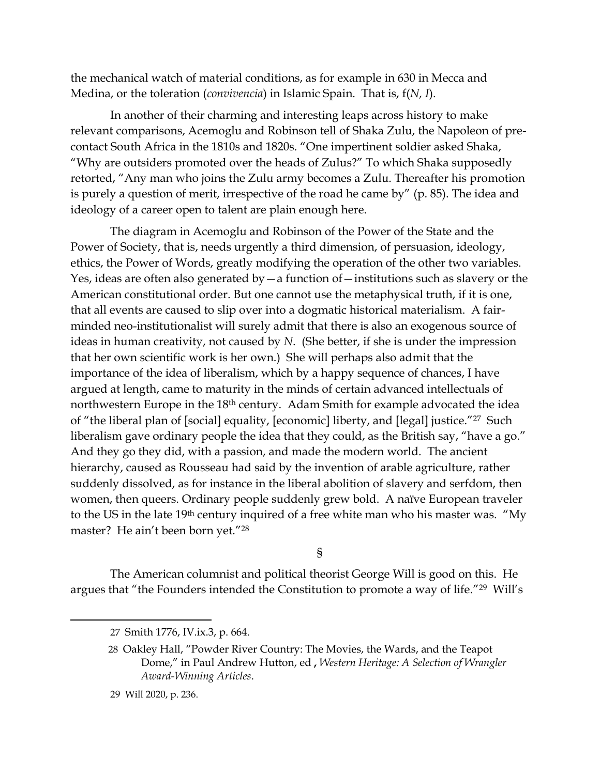the mechanical watch of material conditions, as for example in 630 in Mecca and Medina, or the toleration (*convivencia*) in Islamic Spain. That is, f(*N, I*).

In another of their charming and interesting leaps across history to make relevant comparisons, Acemoglu and Robinson tell of Shaka Zulu, the Napoleon of precontact South Africa in the 1810s and 1820s. "One impertinent soldier asked Shaka, "Why are outsiders promoted over the heads of Zulus?" To which Shaka supposedly retorted, "Any man who joins the Zulu army becomes a Zulu. Thereafter his promotion is purely a question of merit, irrespective of the road he came by" (p. 85). The idea and ideology of a career open to talent are plain enough here.

The diagram in Acemoglu and Robinson of the Power of the State and the Power of Society, that is, needs urgently a third dimension, of persuasion, ideology, ethics, the Power of Words, greatly modifying the operation of the other two variables. Yes, ideas are often also generated by  $-a$  function of  $-\text{institutions}$  such as slavery or the American constitutional order. But one cannot use the metaphysical truth, if it is one, that all events are caused to slip over into a dogmatic historical materialism. A fairminded neo-institutionalist will surely admit that there is also an exogenous source of ideas in human creativity, not caused by *N*. (She better, if she is under the impression that her own scientific work is her own.) She will perhaps also admit that the importance of the idea of liberalism, which by a happy sequence of chances, I have argued at length, came to maturity in the minds of certain advanced intellectuals of northwestern Europe in the 18<sup>th</sup> century. Adam Smith for example advocated the idea of "the liberal plan of [social] equality, [economic] liberty, and [legal] justice."<sup>27</sup> Such liberalism gave ordinary people the idea that they could, as the British say, "have a go." And they go they did, with a passion, and made the modern world. The ancient hierarchy, caused as Rousseau had said by the invention of arable agriculture, rather suddenly dissolved, as for instance in the liberal abolition of slavery and serfdom, then women, then queers. Ordinary people suddenly grew bold. A naïve European traveler to the US in the late 19th century inquired of a free white man who his master was. "My master? He ain't been born yet."<sup>28</sup>

§

The American columnist and political theorist George Will is good on this. He argues that "the Founders intended the Constitution to promote a way of life."<sup>29</sup> Will's

29 Will 2020, p. 236.

<sup>27</sup> Smith 1776, IV.ix.3, p. 664.

<sup>28</sup> Oakley Hall, "Powder River Country: The Movies, the Wards, and the Teapot Dome," in Paul Andrew Hutton, ed **,** *Western Heritage: A Selection of Wrangler Award-Winning Articles*.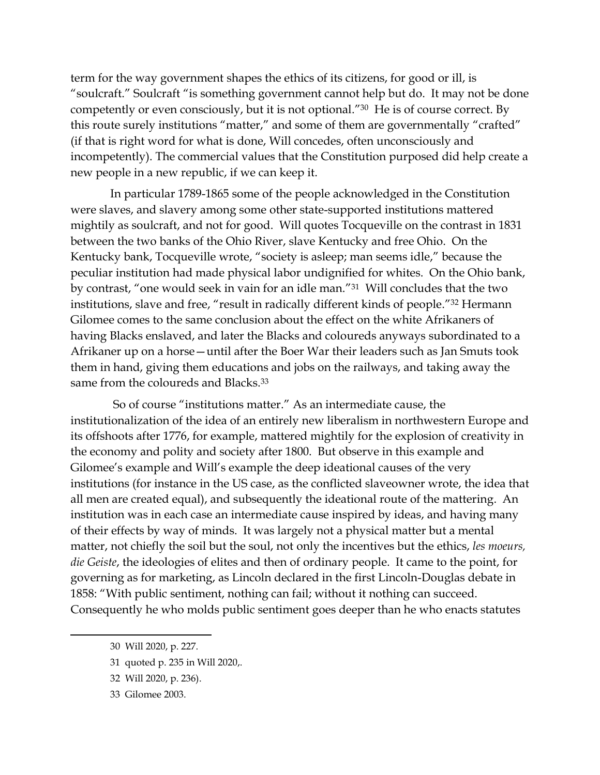term for the way government shapes the ethics of its citizens, for good or ill, is "soulcraft." Soulcraft "is something government cannot help but do. It may not be done competently or even consciously, but it is not optional."30 He is of course correct. By this route surely institutions "matter," and some of them are governmentally "crafted" (if that is right word for what is done, Will concedes, often unconsciously and incompetently). The commercial values that the Constitution purposed did help create a new people in a new republic, if we can keep it.

In particular 1789-1865 some of the people acknowledged in the Constitution were slaves, and slavery among some other state-supported institutions mattered mightily as soulcraft, and not for good. Will quotes Tocqueville on the contrast in 1831 between the two banks of the Ohio River, slave Kentucky and free Ohio. On the Kentucky bank, Tocqueville wrote, "society is asleep; man seems idle," because the peculiar institution had made physical labor undignified for whites. On the Ohio bank, by contrast, "one would seek in vain for an idle man."31 Will concludes that the two institutions, slave and free, "result in radically different kinds of people."<sup>32</sup> Hermann Gilomee comes to the same conclusion about the effect on the white Afrikaners of having Blacks enslaved, and later the Blacks and coloureds anyways subordinated to a Afrikaner up on a horse—until after the Boer War their leaders such as Jan Smuts took them in hand, giving them educations and jobs on the railways, and taking away the same from the coloureds and Blacks.<sup>33</sup>

So of course "institutions matter." As an intermediate cause, the institutionalization of the idea of an entirely new liberalism in northwestern Europe and its offshoots after 1776, for example, mattered mightily for the explosion of creativity in the economy and polity and society after 1800. But observe in this example and Gilomee's example and Will's example the deep ideational causes of the very institutions (for instance in the US case, as the conflicted slaveowner wrote, the idea that all men are created equal), and subsequently the ideational route of the mattering. An institution was in each case an intermediate cause inspired by ideas, and having many of their effects by way of minds.It was largely not a physical matter but a mental matter, not chiefly the soil but the soul, not only the incentives but the ethics, *les moeurs, die Geiste*, the ideologies of elites and then of ordinary people. It came to the point, for governing as for marketing, as Lincoln declared in the first Lincoln-Douglas debate in 1858: "With public sentiment, nothing can fail; without it nothing can succeed. Consequently he who molds public sentiment goes deeper than he who enacts statutes

- 31 quoted p. 235 in Will 2020,.
- 32 Will 2020, p. 236).
- 33 Gilomee 2003.

<sup>30</sup> Will 2020, p. 227.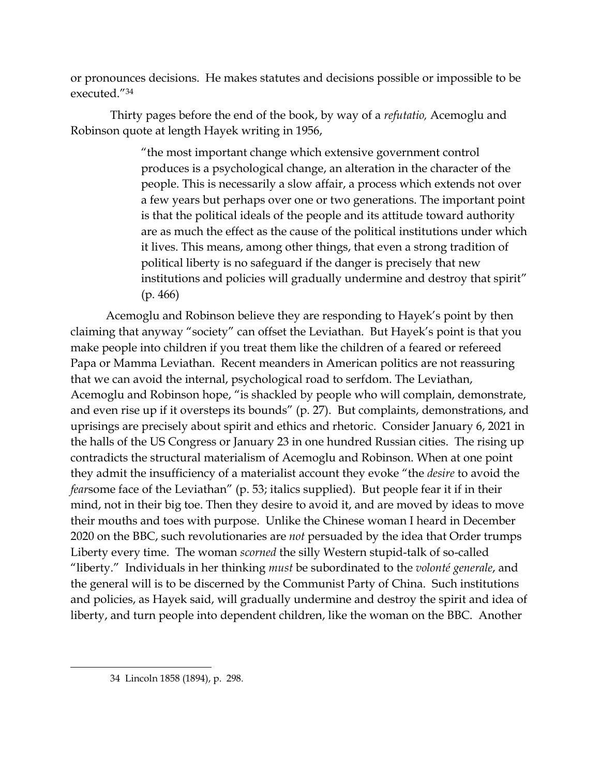or pronounces decisions. He makes statutes and decisions possible or impossible to be executed."<sup>34</sup>

Thirty pages before the end of the book, by way of a *refutatio,* Acemoglu and Robinson quote at length Hayek writing in 1956,

> "the most important change which extensive government control produces is a psychological change, an alteration in the character of the people. This is necessarily a slow affair, a process which extends not over a few years but perhaps over one or two generations. The important point is that the political ideals of the people and its attitude toward authority are as much the effect as the cause of the political institutions under which it lives. This means, among other things, that even a strong tradition of political liberty is no safeguard if the danger is precisely that new institutions and policies will gradually undermine and destroy that spirit" (p. 466)

Acemoglu and Robinson believe they are responding to Hayek's point by then claiming that anyway "society" can offset the Leviathan. But Hayek's point is that you make people into children if you treat them like the children of a feared or refereed Papa or Mamma Leviathan. Recent meanders in American politics are not reassuring that we can avoid the internal, psychological road to serfdom. The Leviathan, Acemoglu and Robinson hope, "is shackled by people who will complain, demonstrate, and even rise up if it oversteps its bounds" (p. 27). But complaints, demonstrations, and uprisings are precisely about spirit and ethics and rhetoric. Consider January 6, 2021 in the halls of the US Congress or January 23 in one hundred Russian cities. The rising up contradicts the structural materialism of Acemoglu and Robinson. When at one point they admit the insufficiency of a materialist account they evoke "the *desire* to avoid the *fear*some face of the Leviathan" (p. 53; italics supplied). But people fear it if in their mind, not in their big toe. Then they desire to avoid it, and are moved by ideas to move their mouths and toes with purpose. Unlike the Chinese woman I heard in December 2020 on the BBC, such revolutionaries are *not* persuaded by the idea that Order trumps Liberty every time. The woman *scorned* the silly Western stupid-talk of so-called "liberty." Individuals in her thinking *must* be subordinated to the *volonté generale*, and the general will is to be discerned by the Communist Party of China. Such institutions and policies, as Hayek said, will gradually undermine and destroy the spirit and idea of liberty, and turn people into dependent children, like the woman on the BBC. Another

<sup>34</sup> Lincoln 1858 (1894), p. 298.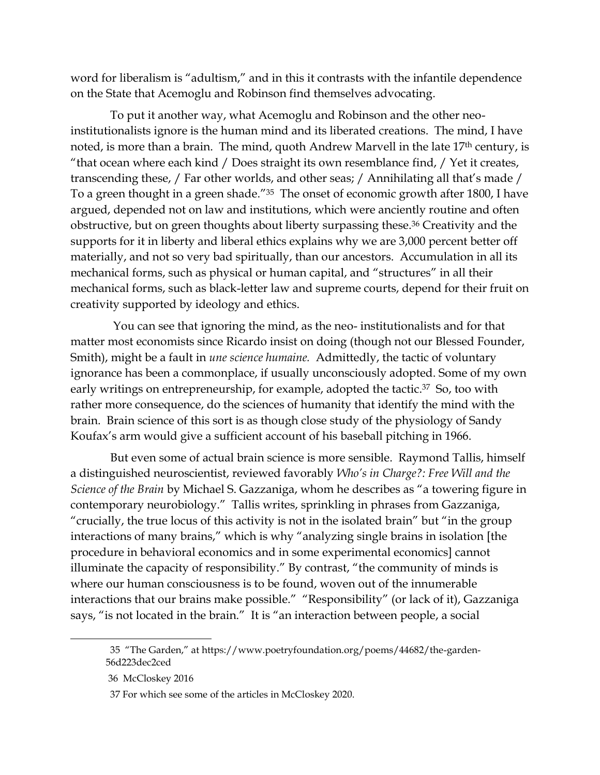word for liberalism is "adultism," and in this it contrasts with the infantile dependence on the State that Acemoglu and Robinson find themselves advocating.

To put it another way, what Acemoglu and Robinson and the other neoinstitutionalists ignore is the human mind and its liberated creations. The mind, I have noted, is more than a brain. The mind, quoth Andrew Marvell in the late 17<sup>th</sup> century, is "that ocean where each kind / Does straight its own resemblance find, / Yet it creates, transcending these, / Far other worlds, and other seas; / Annihilating all that's made / To a green thought in a green shade."<sup>35</sup> The onset of economic growth after 1800, I have argued, depended not on law and institutions, which were anciently routine and often obstructive, but on green thoughts about liberty surpassing these. <sup>36</sup> Creativity and the supports for it in liberty and liberal ethics explains why we are 3,000 percent better off materially, and not so very bad spiritually, than our ancestors. Accumulation in all its mechanical forms, such as physical or human capital, and "structures" in all their mechanical forms, such as black-letter law and supreme courts, depend for their fruit on creativity supported by ideology and ethics.

You can see that ignoring the mind, as the neo- institutionalists and for that matter most economists since Ricardo insist on doing (though not our Blessed Founder, Smith), might be a fault in *une science humaine.* Admittedly, the tactic of voluntary ignorance has been a commonplace, if usually unconsciously adopted. Some of my own early writings on entrepreneurship, for example, adopted the tactic.<sup>37</sup> So, too with rather more consequence, do the sciences of humanity that identify the mind with the brain. Brain science of this sort is as though close study of the physiology of Sandy Koufax's arm would give a sufficient account of his baseball pitching in 1966.

But even some of actual brain science is more sensible. Raymond Tallis, himself a distinguished neuroscientist, reviewed favorably *Who's in Charge?: Free Will and the Science of the Brain* by Michael S. Gazzaniga, whom he describes as "a towering figure in contemporary neurobiology." Tallis writes, sprinkling in phrases from Gazzaniga, "crucially, the true locus of this activity is not in the isolated brain" but "in the group interactions of many brains," which is why "analyzing single brains in isolation [the procedure in behavioral economics and in some experimental economics] cannot illuminate the capacity of responsibility." By contrast, "the community of minds is where our human consciousness is to be found, woven out of the innumerable interactions that our brains make possible." "Responsibility" (or lack of it), Gazzaniga says, "is not located in the brain." It is "an interaction between people, a social

<sup>35</sup> "The Garden," at https://www.poetryfoundation.org/poems/44682/the-garden-56d223dec2ced

<sup>36</sup> McCloskey 2016

<sup>37</sup> For which see some of the articles in McCloskey 2020.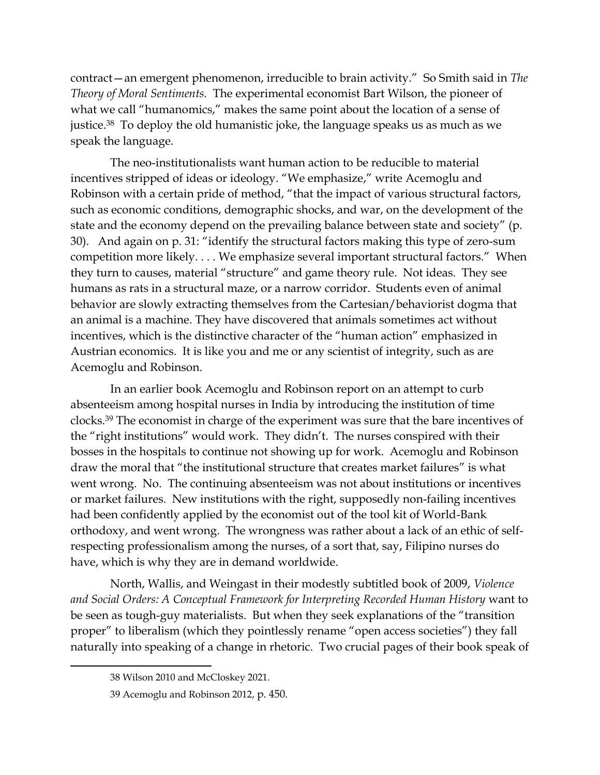contract—an emergent phenomenon, irreducible to brain activity." So Smith said in *The Theory of Moral Sentiments.* The experimental economist Bart Wilson, the pioneer of what we call "humanomics," makes the same point about the location of a sense of justice. <sup>38</sup> To deploy the old humanistic joke, the language speaks us as much as we speak the language.

The neo-institutionalists want human action to be reducible to material incentives stripped of ideas or ideology. "We emphasize," write Acemoglu and Robinson with a certain pride of method, "that the impact of various structural factors, such as economic conditions, demographic shocks, and war, on the development of the state and the economy depend on the prevailing balance between state and society" (p. 30). And again on p. 31: "identify the structural factors making this type of zero-sum competition more likely. . . . We emphasize several important structural factors." When they turn to causes, material "structure" and game theory rule. Not ideas. They see humans as rats in a structural maze, or a narrow corridor. Students even of animal behavior are slowly extracting themselves from the Cartesian/behaviorist dogma that an animal is a machine. They have discovered that animals sometimes act without incentives, which is the distinctive character of the "human action" emphasized in Austrian economics. It is like you and me or any scientist of integrity, such as are Acemoglu and Robinson.

In an earlier book Acemoglu and Robinson report on an attempt to curb absenteeism among hospital nurses in India by introducing the institution of time clocks.<sup>39</sup> The economist in charge of the experiment was sure that the bare incentives of the "right institutions" would work. They didn't. The nurses conspired with their bosses in the hospitals to continue not showing up for work. Acemoglu and Robinson draw the moral that "the institutional structure that creates market failures" is what went wrong. No. The continuing absenteeism was not about institutions or incentives or market failures. New institutions with the right, supposedly non-failing incentives had been confidently applied by the economist out of the tool kit of World-Bank orthodoxy, and went wrong. The wrongness was rather about a lack of an ethic of selfrespecting professionalism among the nurses, of a sort that, say, Filipino nurses do have, which is why they are in demand worldwide.

North, Wallis, and Weingast in their modestly subtitled book of 2009, *Violence and Social Orders: A Conceptual Framework for Interpreting Recorded Human History* want to be seen as tough-guy materialists. But when they seek explanations of the "transition proper" to liberalism (which they pointlessly rename "open access societies") they fall naturally into speaking of a change in rhetoric. Two crucial pages of their book speak of

<sup>38</sup> Wilson 2010 and McCloskey 2021.

<sup>39</sup> Acemoglu and Robinson 2012, p. 450.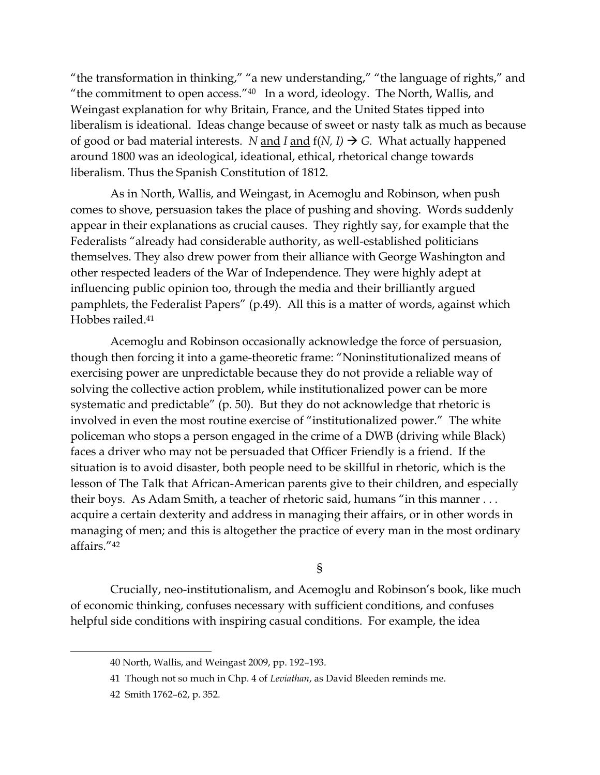"the transformation in thinking," "a new understanding," "the language of rights," and "the commitment to open access." $40$  In a word, ideology. The North, Wallis, and Weingast explanation for why Britain, France, and the United States tipped into liberalism is ideational. Ideas change because of sweet or nasty talk as much as because of good or bad material interests. *N* and *I* and  $f(N, I) \rightarrow G$ . What actually happened around 1800 was an ideological, ideational, ethical, rhetorical change towards liberalism. Thus the Spanish Constitution of 1812.

As in North, Wallis, and Weingast, in Acemoglu and Robinson, when push comes to shove, persuasion takes the place of pushing and shoving. Words suddenly appear in their explanations as crucial causes. They rightly say, for example that the Federalists "already had considerable authority, as well-established politicians themselves. They also drew power from their alliance with George Washington and other respected leaders of the War of Independence. They were highly adept at influencing public opinion too, through the media and their brilliantly argued pamphlets, the Federalist Papers" (p.49). All this is a matter of words, against which Hobbes railed.<sup>41</sup>

Acemoglu and Robinson occasionally acknowledge the force of persuasion, though then forcing it into a game-theoretic frame: "Noninstitutionalized means of exercising power are unpredictable because they do not provide a reliable way of solving the collective action problem, while institutionalized power can be more systematic and predictable" (p. 50). But they do not acknowledge that rhetoric is involved in even the most routine exercise of "institutionalized power." The white policeman who stops a person engaged in the crime of a DWB (driving while Black) faces a driver who may not be persuaded that Officer Friendly is a friend. If the situation is to avoid disaster, both people need to be skillful in rhetoric, which is the lesson of The Talk that African-American parents give to their children, and especially their boys. As Adam Smith, a teacher of rhetoric said, humans "in this manner . . . acquire a certain dexterity and address in managing their affairs, or in other words in managing of men; and this is altogether the practice of every man in the most ordinary affairs."<sup>42</sup>

§

Crucially, neo-institutionalism, and Acemoglu and Robinson's book, like much of economic thinking, confuses necessary with sufficient conditions, and confuses helpful side conditions with inspiring casual conditions. For example, the idea

<sup>40</sup> North, Wallis, and Weingast 2009, pp. 192–193.

<sup>41</sup> Though not so much in Chp. 4 of *Leviathan*, as David Bleeden reminds me.

<sup>42</sup> Smith 1762–62, p. 352.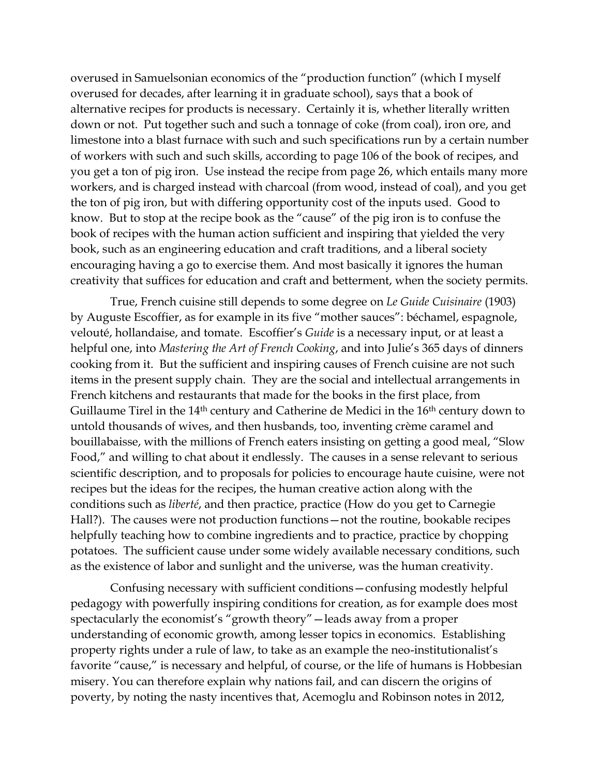overused in Samuelsonian economics of the "production function" (which I myself overused for decades, after learning it in graduate school), says that a book of alternative recipes for products is necessary. Certainly it is, whether literally written down or not. Put together such and such a tonnage of coke (from coal), iron ore, and limestone into a blast furnace with such and such specifications run by a certain number of workers with such and such skills, according to page 106 of the book of recipes, and you get a ton of pig iron. Use instead the recipe from page 26, which entails many more workers, and is charged instead with charcoal (from wood, instead of coal), and you get the ton of pig iron, but with differing opportunity cost of the inputs used. Good to know. But to stop at the recipe book as the "cause" of the pig iron is to confuse the book of recipes with the human action sufficient and inspiring that yielded the very book, such as an engineering education and craft traditions, and a liberal society encouraging having a go to exercise them. And most basically it ignores the human creativity that suffices for education and craft and betterment, when the society permits.

True, French cuisine still depends to some degree on *Le Guide Cuisinaire* (1903) by Auguste Escoffier, as for example in its five "mother sauces": béchamel, espagnole, velouté, hollandaise, and tomate. Escoffier's *Guide* is a necessary input, or at least a helpful one, into *Mastering the Art of French Cooking*, and into Julie's 365 days of dinners cooking from it. But the sufficient and inspiring causes of French cuisine are not such items in the present supply chain. They are the social and intellectual arrangements in French kitchens and restaurants that made for the books in the first place, from Guillaume Tirel in the 14<sup>th</sup> century and Catherine de Medici in the 16<sup>th</sup> century down to untold thousands of wives, and then husbands, too, inventing crème caramel and bouillabaisse, with the millions of French eaters insisting on getting a good meal, "Slow Food," and willing to chat about it endlessly. The causes in a sense relevant to serious scientific description, and to proposals for policies to encourage haute cuisine, were not recipes but the ideas for the recipes, the human creative action along with the conditions such as *liberté*, and then practice, practice (How do you get to Carnegie Hall?). The causes were not production functions—not the routine, bookable recipes helpfully teaching how to combine ingredients and to practice, practice by chopping potatoes. The sufficient cause under some widely available necessary conditions, such as the existence of labor and sunlight and the universe, was the human creativity.

Confusing necessary with sufficient conditions—confusing modestly helpful pedagogy with powerfully inspiring conditions for creation, as for example does most spectacularly the economist's "growth theory"—leads away from a proper understanding of economic growth, among lesser topics in economics. Establishing property rights under a rule of law, to take as an example the neo-institutionalist's favorite "cause," is necessary and helpful, of course, or the life of humans is Hobbesian misery. You can therefore explain why nations fail, and can discern the origins of poverty, by noting the nasty incentives that, Acemoglu and Robinson notes in 2012,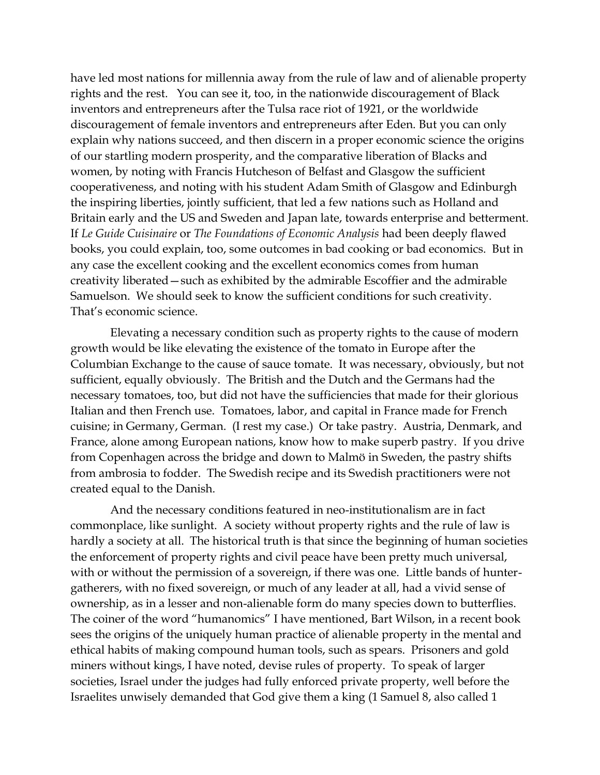have led most nations for millennia away from the rule of law and of alienable property rights and the rest. You can see it, too, in the nationwide discouragement of Black inventors and entrepreneurs after the Tulsa race riot of 1921, or the worldwide discouragement of female inventors and entrepreneurs after Eden. But you can only explain why nations succeed, and then discern in a proper economic science the origins of our startling modern prosperity, and the comparative liberation of Blacks and women, by noting with Francis Hutcheson of Belfast and Glasgow the sufficient cooperativeness, and noting with his student Adam Smith of Glasgow and Edinburgh the inspiring liberties, jointly sufficient, that led a few nations such as Holland and Britain early and the US and Sweden and Japan late, towards enterprise and betterment. If *Le Guide Cuisinaire* or *The Foundations of Economic Analysis* had been deeply flawed books, you could explain, too, some outcomes in bad cooking or bad economics. But in any case the excellent cooking and the excellent economics comes from human creativity liberated—such as exhibited by the admirable Escoffier and the admirable Samuelson. We should seek to know the sufficient conditions for such creativity. That's economic science.

Elevating a necessary condition such as property rights to the cause of modern growth would be like elevating the existence of the tomato in Europe after the Columbian Exchange to the cause of sauce tomate. It was necessary, obviously, but not sufficient, equally obviously. The British and the Dutch and the Germans had the necessary tomatoes, too, but did not have the sufficiencies that made for their glorious Italian and then French use. Tomatoes, labor, and capital in France made for French cuisine; in Germany, German. (I rest my case.) Or take pastry. Austria, Denmark, and France, alone among European nations, know how to make superb pastry. If you drive from Copenhagen across the bridge and down to Malmö in Sweden, the pastry shifts from ambrosia to fodder. The Swedish recipe and its Swedish practitioners were not created equal to the Danish.

And the necessary conditions featured in neo-institutionalism are in fact commonplace, like sunlight. A society without property rights and the rule of law is hardly a society at all. The historical truth is that since the beginning of human societies the enforcement of property rights and civil peace have been pretty much universal, with or without the permission of a sovereign, if there was one. Little bands of huntergatherers, with no fixed sovereign, or much of any leader at all, had a vivid sense of ownership, as in a lesser and non-alienable form do many species down to butterflies. The coiner of the word "humanomics" I have mentioned, Bart Wilson, in a recent book sees the origins of the uniquely human practice of alienable property in the mental and ethical habits of making compound human tools, such as spears. Prisoners and gold miners without kings, I have noted, devise rules of property. To speak of larger societies, Israel under the judges had fully enforced private property, well before the Israelites unwisely demanded that God give them a king (1 Samuel 8, also called 1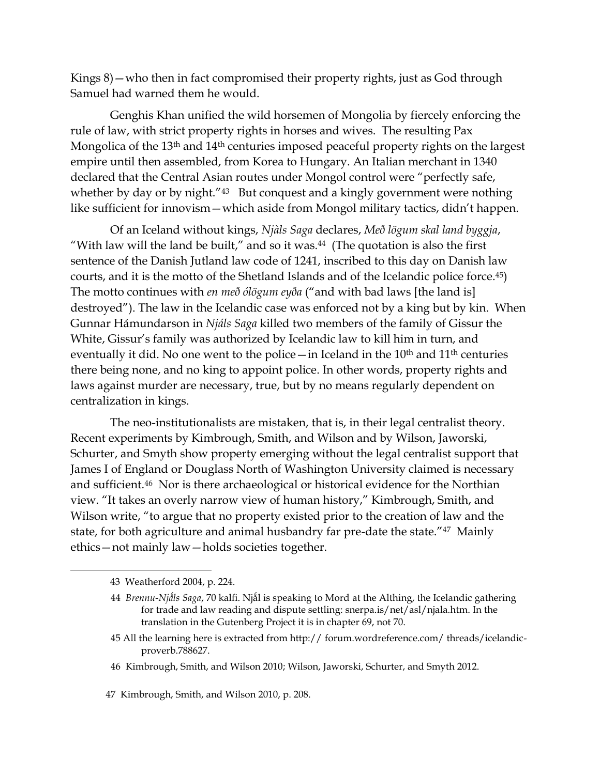Kings 8)—who then in fact compromised their property rights, just as God through Samuel had warned them he would.

Genghis Khan unified the wild horsemen of Mongolia by fiercely enforcing the rule of law, with strict property rights in horses and wives. The resulting Pax Mongolica of the 13<sup>th</sup> and 14<sup>th</sup> centuries imposed peaceful property rights on the largest empire until then assembled, from Korea to Hungary. An Italian merchant in 1340 declared that the Central Asian routes under Mongol control were "perfectly safe, whether by day or by night."<sup>43</sup> But conquest and a kingly government were nothing like sufficient for innovism—which aside from Mongol military tactics, didn't happen.

Of an Iceland without kings, *Njàls Saga* declares, *Með lögum skal land byggja*, "With law will the land be built," and so it was. $44$  (The quotation is also the first sentence of the Danish Jutland law code of 1241, inscribed to this day on Danish law courts, and it is the motto of the Shetland Islands and of the Icelandic police force.45) The motto continues with *en með ólögum eyða* ("and with bad laws [the land is] destroyed"). The law in the Icelandic case was enforced not by a king but by kin. When Gunnar Hámundarson in *Njáls Saga* killed two members of the family of Gissur the White, Gissur's family was authorized by Icelandic law to kill him in turn, and eventually it did. No one went to the police—in Iceland in the  $10<sup>th</sup>$  and  $11<sup>th</sup>$  centuries there being none, and no king to appoint police. In other words, property rights and laws against murder are necessary, true, but by no means regularly dependent on centralization in kings.

The neo-institutionalists are mistaken, that is, in their legal centralist theory. Recent experiments by Kimbrough, Smith, and Wilson and by Wilson, Jaworski, Schurter, and Smyth show property emerging without the legal centralist support that James I of England or Douglass North of Washington University claimed is necessary and sufficient.46 Nor is there archaeological or historical evidence for the Northian view. "It takes an overly narrow view of human history," Kimbrough, Smith, and Wilson write, "to argue that no property existed prior to the creation of law and the state, for both agriculture and animal husbandry far pre-date the state."47 Mainly ethics—not mainly law—holds societies together.

<sup>43</sup> Weatherford 2004, p. 224.

 <sup>44</sup> *Brennu-Njǻls Saga*, 70 kalfi. Njǻl is speaking to Mord at the Althing, the Icelandic gathering for trade and law reading and dispute settling: snerpa.is/net/asl/njala.htm. In the translation in the Gutenberg Project it is in chapter 69, not 70.

 <sup>45</sup> All the learning here is extracted from http:// forum.wordreference.com/ threads/icelandicproverb.788627.

 <sup>46</sup> Kimbrough, Smith, and Wilson 2010; Wilson, Jaworski, Schurter, and Smyth 2012.

<sup>47</sup> Kimbrough, Smith, and Wilson 2010, p. 208.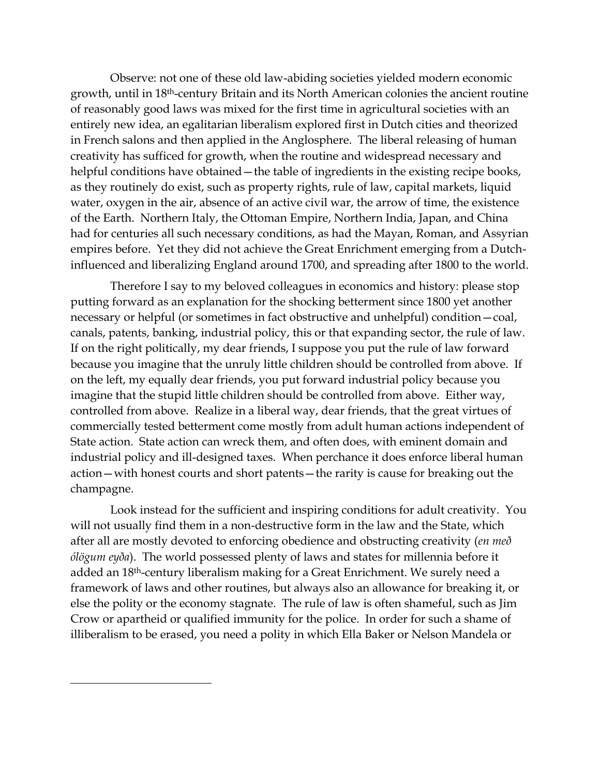Observe: not one of these old law-abiding societies yielded modern economic growth, until in 18th-century Britain and its North American colonies the ancient routine of reasonably good laws was mixed for the first time in agricultural societies with an entirely new idea, an egalitarian liberalism explored first in Dutch cities and theorized in French salons and then applied in the Anglosphere. The liberal releasing of human creativity has sufficed for growth, when the routine and widespread necessary and helpful conditions have obtained – the table of ingredients in the existing recipe books, as they routinely do exist, such as property rights, rule of law, capital markets, liquid water, oxygen in the air, absence of an active civil war, the arrow of time, the existence of the Earth. Northern Italy, the Ottoman Empire, Northern India, Japan, and China had for centuries all such necessary conditions, as had the Mayan, Roman, and Assyrian empires before. Yet they did not achieve the Great Enrichment emerging from a Dutchinfluenced and liberalizing England around 1700, and spreading after 1800 to the world.

Therefore I say to my beloved colleagues in economics and history: please stop putting forward as an explanation for the shocking betterment since 1800 yet another necessary or helpful (or sometimes in fact obstructive and unhelpful) condition—coal, canals, patents, banking, industrial policy, this or that expanding sector, the rule of law. If on the right politically, my dear friends, I suppose you put the rule of law forward because you imagine that the unruly little children should be controlled from above. If on the left, my equally dear friends, you put forward industrial policy because you imagine that the stupid little children should be controlled from above. Either way, controlled from above. Realize in a liberal way, dear friends, that the great virtues of commercially tested betterment come mostly from adult human actions independent of State action. State action can wreck them, and often does, with eminent domain and industrial policy and ill-designed taxes. When perchance it does enforce liberal human action—with honest courts and short patents—the rarity is cause for breaking out the champagne.

Look instead for the sufficient and inspiring conditions for adult creativity. You will not usually find them in a non-destructive form in the law and the State, which after all are mostly devoted to enforcing obedience and obstructing creativity (*en með ólögum eyða*). The world possessed plenty of laws and states for millennia before it added an 18th-century liberalism making for a Great Enrichment. We surely need a framework of laws and other routines, but always also an allowance for breaking it, or else the polity or the economy stagnate. The rule of law is often shameful, such as Jim Crow or apartheid or qualified immunity for the police. In order for such a shame of illiberalism to be erased, you need a polity in which Ella Baker or Nelson Mandela or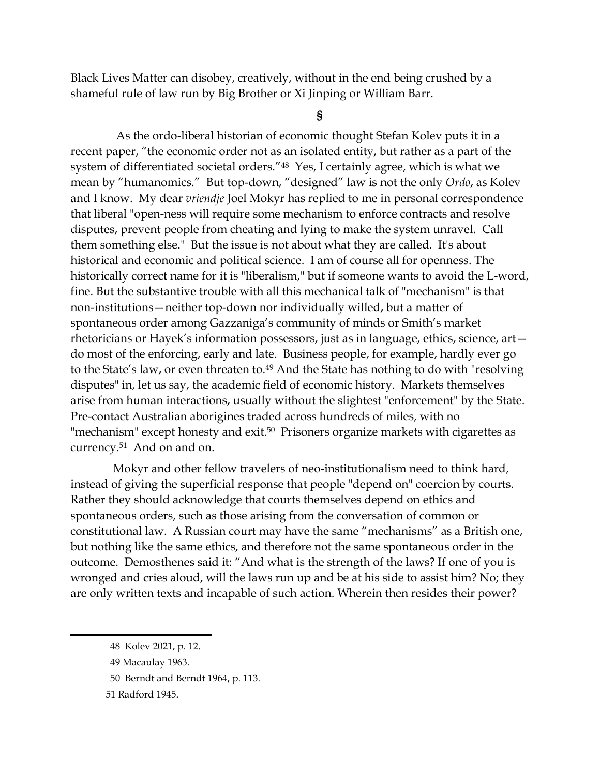Black Lives Matter can disobey, creatively, without in the end being crushed by a shameful rule of law run by Big Brother or Xi Jinping or William Barr.

**§**

 As the ordo-liberal historian of economic thought Stefan Kolev puts it in a recent paper, "the economic order not as an isolated entity, but rather as a part of the system of differentiated societal orders."<sup>48</sup> Yes, I certainly agree, which is what we mean by "humanomics." But top-down, "designed" law is not the only *Ordo*, as Kolev and I know.My dear *vriendje* Joel Mokyr has replied to me in personal correspondence that liberal "open-ness will require some mechanism to enforce contracts and resolve disputes, prevent people from cheating and lying to make the system unravel. Call them something else." But the issue is not about what they are called. It's about historical and economic and political science. I am of course all for openness. The historically correct name for it is "liberalism," but if someone wants to avoid the L-word, fine. But the substantive trouble with all this mechanical talk of "mechanism" is that non-institutions—neither top-down nor individually willed, but a matter of spontaneous order among Gazzaniga's community of minds or Smith's market rhetoricians or Hayek's information possessors, just as in language, ethics, science, art do most of the enforcing, early and late. Business people, for example, hardly ever go to the State's law, or even threaten to.<sup>49</sup> And the State has nothing to do with "resolving disputes" in, let us say, the academic field of economic history. Markets themselves arise from human interactions, usually without the slightest "enforcement" by the State. Pre-contact Australian aborigines traded across hundreds of miles, with no "mechanism" except honesty and exit.<sup>50</sup> Prisoners organize markets with cigarettes as currency.<sup>51</sup> And on and on.

Mokyr and other fellow travelers of neo-institutionalism need to think hard, instead of giving the superficial response that people "depend on" coercion by courts. Rather they should acknowledge that courts themselves depend on ethics and spontaneous orders, such as those arising from the conversation of common or constitutional law. A Russian court may have the same "mechanisms" as a British one, but nothing like the same ethics, and therefore not the same spontaneous order in the outcome. Demosthenes said it: "And what is the strength of the laws? If one of you is wronged and cries aloud, will the laws run up and be at his side to assist him? No; they are only written texts and incapable of such action. Wherein then resides their power?

<sup>48</sup> Kolev 2021, p. 12.

<sup>49</sup> Macaulay 1963.

<sup>50</sup> Berndt and Berndt 1964, p. 113.

<sup>51</sup> Radford 1945.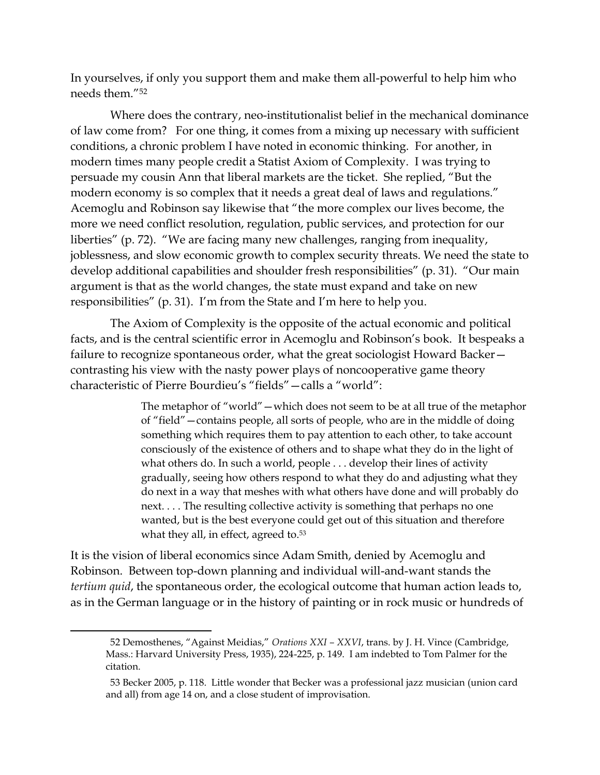In yourselves, if only you support them and make them all-powerful to help him who needs them."<sup>52</sup>

Where does the contrary, neo-institutionalist belief in the mechanical dominance of law come from? For one thing, it comes from a mixing up necessary with sufficient conditions, a chronic problem I have noted in economic thinking. For another, in modern times many people credit a Statist Axiom of Complexity. I was trying to persuade my cousin Ann that liberal markets are the ticket. She replied, "But the modern economy is so complex that it needs a great deal of laws and regulations." Acemoglu and Robinson say likewise that "the more complex our lives become, the more we need conflict resolution, regulation, public services, and protection for our liberties" (p. 72). "We are facing many new challenges, ranging from inequality, joblessness, and slow economic growth to complex security threats. We need the state to develop additional capabilities and shoulder fresh responsibilities" (p. 31). "Our main argument is that as the world changes, the state must expand and take on new responsibilities" (p. 31). I'm from the State and I'm here to help you.

The Axiom of Complexity is the opposite of the actual economic and political facts, and is the central scientific error in Acemoglu and Robinson's book. It bespeaks a failure to recognize spontaneous order, what the great sociologist Howard Backer contrasting his view with the nasty power plays of noncooperative game theory characteristic of Pierre Bourdieu's "fields"—calls a "world":

> The metaphor of "world"—which does not seem to be at all true of the metaphor of "field"—contains people, all sorts of people, who are in the middle of doing something which requires them to pay attention to each other, to take account consciously of the existence of others and to shape what they do in the light of what others do. In such a world, people . . . develop their lines of activity gradually, seeing how others respond to what they do and adjusting what they do next in a way that meshes with what others have done and will probably do next. . . . The resulting collective activity is something that perhaps no one wanted, but is the best everyone could get out of this situation and therefore what they all, in effect, agreed to.<sup>53</sup>

It is the vision of liberal economics since Adam Smith, denied by Acemoglu and Robinson. Between top-down planning and individual will-and-want stands the *tertium quid*, the spontaneous order, the ecological outcome that human action leads to, as in the German language or in the history of painting or in rock music or hundreds of

<sup>52</sup> Demosthenes, "Against Meidias," *Orations XXI – XXVI*, trans. by J. H. Vince (Cambridge, Mass.: Harvard University Press, 1935), 224-225, p. 149. I am indebted to Tom Palmer for the citation.

<sup>53</sup> Becker 2005, p. 118. Little wonder that Becker was a professional jazz musician (union card and all) from age 14 on, and a close student of improvisation.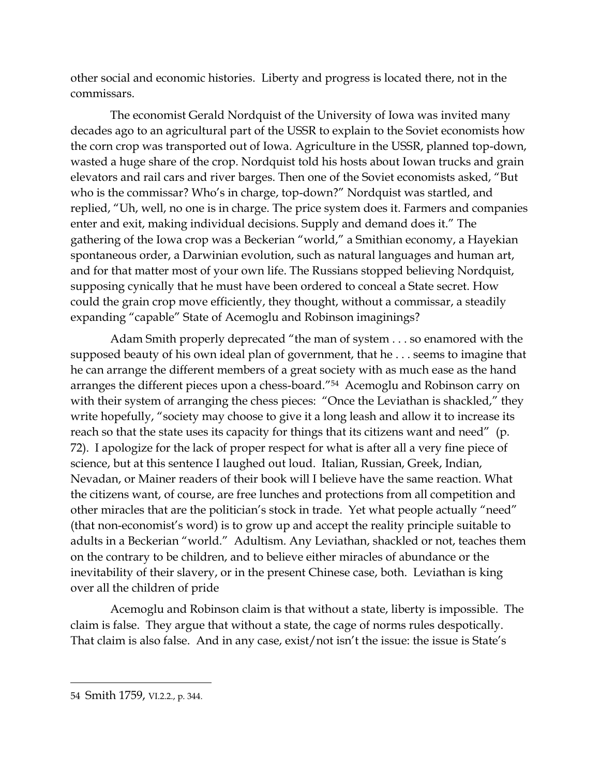other social and economic histories. Liberty and progress is located there, not in the commissars.

The economist Gerald Nordquist of the University of Iowa was invited many decades ago to an agricultural part of the USSR to explain to the Soviet economists how the corn crop was transported out of Iowa. Agriculture in the USSR, planned top-down, wasted a huge share of the crop. Nordquist told his hosts about Iowan trucks and grain elevators and rail cars and river barges. Then one of the Soviet economists asked, "But who is the commissar? Who's in charge, top-down?" Nordquist was startled, and replied, "Uh, well, no one is in charge. The price system does it. Farmers and companies enter and exit, making individual decisions. Supply and demand does it." The gathering of the Iowa crop was a Beckerian "world," a Smithian economy, a Hayekian spontaneous order, a Darwinian evolution, such as natural languages and human art, and for that matter most of your own life. The Russians stopped believing Nordquist, supposing cynically that he must have been ordered to conceal a State secret. How could the grain crop move efficiently, they thought, without a commissar, a steadily expanding "capable" State of Acemoglu and Robinson imaginings?

Adam Smith properly deprecated "the man of system . . . so enamored with the supposed beauty of his own ideal plan of government, that he . . . seems to imagine that he can arrange the different members of a great society with as much ease as the hand arranges the different pieces upon a chess-board."<sup>54</sup> Acemoglu and Robinson carry on with their system of arranging the chess pieces: "Once the Leviathan is shackled," they write hopefully, "society may choose to give it a long leash and allow it to increase its reach so that the state uses its capacity for things that its citizens want and need" (p. 72). I apologize for the lack of proper respect for what is after all a very fine piece of science, but at this sentence I laughed out loud. Italian, Russian, Greek, Indian, Nevadan, or Mainer readers of their book will I believe have the same reaction. What the citizens want, of course, are free lunches and protections from all competition and other miracles that are the politician's stock in trade. Yet what people actually "need" (that non-economist's word) is to grow up and accept the reality principle suitable to adults in a Beckerian "world." Adultism. Any Leviathan, shackled or not, teaches them on the contrary to be children, and to believe either miracles of abundance or the inevitability of their slavery, or in the present Chinese case, both. Leviathan is king over all the children of pride

Acemoglu and Robinson claim is that without a state, liberty is impossible. The claim is false. They argue that without a state, the cage of norms rules despotically. That claim is also false. And in any case, exist/not isn't the issue: the issue is State's

<sup>54</sup> Smith 1759, VI.2.2., p. 344.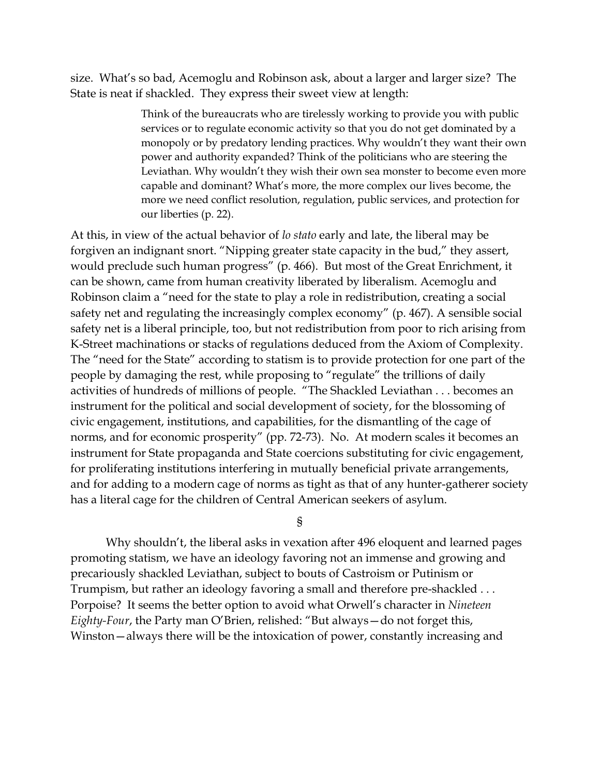size. What's so bad, Acemoglu and Robinson ask, about a larger and larger size? The State is neat if shackled. They express their sweet view at length:

> Think of the bureaucrats who are tirelessly working to provide you with public services or to regulate economic activity so that you do not get dominated by a monopoly or by predatory lending practices. Why wouldn't they want their own power and authority expanded? Think of the politicians who are steering the Leviathan. Why wouldn't they wish their own sea monster to become even more capable and dominant? What's more, the more complex our lives become, the more we need conflict resolution, regulation, public services, and protection for our liberties (p. 22).

At this, in view of the actual behavior of *lo stato* early and late, the liberal may be forgiven an indignant snort. "Nipping greater state capacity in the bud," they assert, would preclude such human progress" (p. 466). But most of the Great Enrichment, it can be shown, came from human creativity liberated by liberalism. Acemoglu and Robinson claim a "need for the state to play a role in redistribution, creating a social safety net and regulating the increasingly complex economy" (p. 467). A sensible social safety net is a liberal principle, too, but not redistribution from poor to rich arising from K-Street machinations or stacks of regulations deduced from the Axiom of Complexity. The "need for the State" according to statism is to provide protection for one part of the people by damaging the rest, while proposing to "regulate" the trillions of daily activities of hundreds of millions of people. "The Shackled Leviathan . . . becomes an instrument for the political and social development of society, for the blossoming of civic engagement, institutions, and capabilities, for the dismantling of the cage of norms, and for economic prosperity" (pp. 72-73). No. At modern scales it becomes an instrument for State propaganda and State coercions substituting for civic engagement, for proliferating institutions interfering in mutually beneficial private arrangements, and for adding to a modern cage of norms as tight as that of any hunter-gatherer society has a literal cage for the children of Central American seekers of asylum.

§

Why shouldn't, the liberal asks in vexation after 496 eloquent and learned pages promoting statism, we have an ideology favoring not an immense and growing and precariously shackled Leviathan, subject to bouts of Castroism or Putinism or Trumpism, but rather an ideology favoring a small and therefore pre-shackled . . . Porpoise? It seems the better option to avoid what Orwell's character in *Nineteen Eighty-Four*, the Party man O'Brien, relished: "But always—do not forget this, Winston—always there will be the intoxication of power, constantly increasing and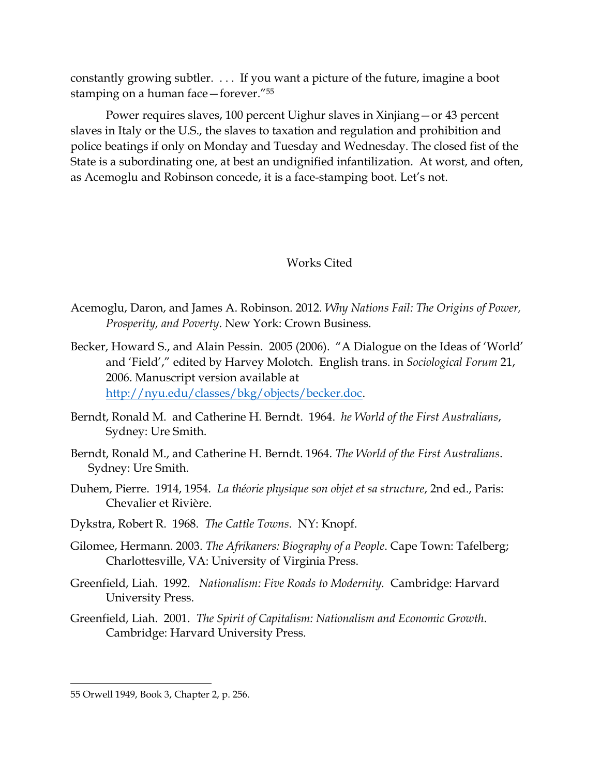constantly growing subtler. . . . If you want a picture of the future, imagine a boot stamping on a human face—forever."<sup>55</sup>

Power requires slaves, 100 percent Uighur slaves in Xinjiang—or 43 percent slaves in Italy or the U.S., the slaves to taxation and regulation and prohibition and police beatings if only on Monday and Tuesday and Wednesday. The closed fist of the State is a subordinating one, at best an undignified infantilization. At worst, and often, as Acemoglu and Robinson concede, it is a face-stamping boot. Let's not.

## Works Cited

- Acemoglu, Daron, and James A. Robinson. 2012. *Why Nations Fail: The Origins of Power, Prosperity, and Poverty*. New York: Crown Business.
- Becker, Howard S., and Alain Pessin. 2005 (2006). "A Dialogue on the Ideas of 'World' and 'Field'," edited by Harvey Molotch. English trans. in *Sociological Forum* 21, 2006. Manuscript version available at [http://nyu.edu/classes/bkg/objects/becker.doc.](http://nyu.edu/classes/bkg/objects/becker.doc)
- Berndt, Ronald M. and Catherine H. Berndt. 1964. *he World of the First Australians*, Sydney: Ure Smith.
- Berndt, Ronald M., and Catherine H. Berndt. 1964. *The World of the First Australians*. Sydney: Ure Smith.
- Duhem, Pierre. 1914, 1954. *La théorie physique son objet et sa structure*, 2nd ed., Paris: Chevalier et Rivière.
- Dykstra, Robert R. 1968. *The Cattle Towns*. NY: Knopf.
- Gilomee, Hermann. 2003. *The Afrikaners: Biography of a People*. Cape Town: Tafelberg; Charlottesville, VA: University of Virginia Press.
- Greenfield, Liah. 1992. *Nationalism: Five Roads to Modernity.* Cambridge: Harvard University Press.
- Greenfield, Liah.2001. *The Spirit of Capitalism: Nationalism and Economic Growth*. Cambridge: Harvard University Press.

<sup>55</sup> Orwell 1949, Book 3, Chapter 2, p. 256.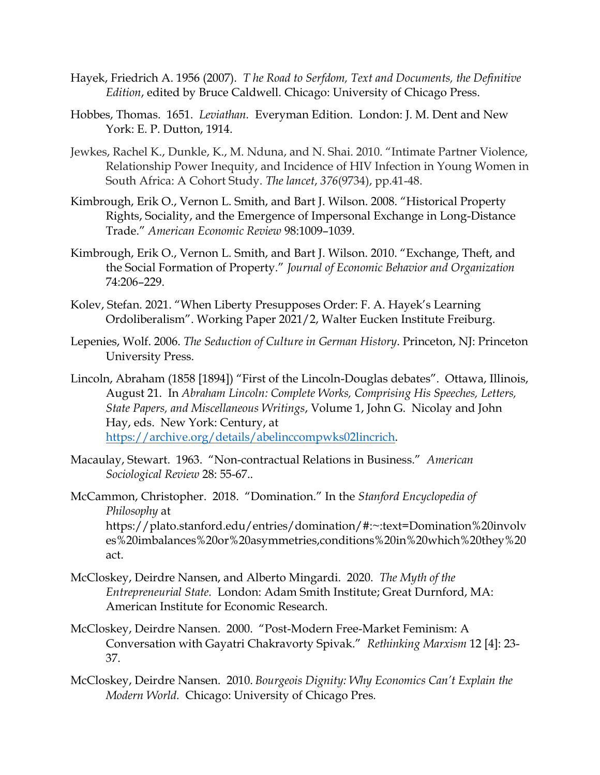- Hayek, Friedrich A. 1956 (2007). *T he Road to Serfdom, Text and Documents, the Definitive Edition*, edited by Bruce Caldwell. Chicago: University of Chicago Press.
- Hobbes, Thomas. 1651. *Leviathan.* Everyman Edition. London: J. M. Dent and New York: E. P. Dutton, 1914.
- Jewkes, Rachel K., Dunkle, K., M. Nduna, and N. Shai. 2010. "Intimate Partner Violence, Relationship Power Inequity, and Incidence of HIV Infection in Young Women in South Africa: A Cohort Study. *The lancet*, *376*(9734), pp.41-48.
- Kimbrough, Erik O., Vernon L. Smith, and Bart J. Wilson. 2008. "Historical Property Rights, Sociality, and the Emergence of Impersonal Exchange in Long-Distance Trade." *American Economic Review* 98:1009–1039.
- Kimbrough, Erik O., Vernon L. Smith, and Bart J. Wilson. 2010. "Exchange, Theft, and the Social Formation of Property." *Journal of Economic Behavior and Organization* 74:206–229.
- Kolev, Stefan. 2021. "When Liberty Presupposes Order: F. A. Hayek's Learning Ordoliberalism". Working Paper 2021/2, Walter Eucken Institute Freiburg.
- Lepenies, Wolf. 2006. *The Seduction of Culture in German History*. Princeton, NJ: Princeton University Press.
- Lincoln, Abraham (1858 [1894]) "First of the Lincoln-Douglas debates". Ottawa, Illinois, August 21. In *Abraham Lincoln: Complete Works, Comprising His Speeches, Letters, State Papers, and Miscellaneous Writings*, Volume 1, John G. Nicolay and John Hay, eds. New York: Century, at [https://archive.org/details/abelinccompwks02lincrich.](https://archive.org/details/abelinccompwks02lincrich)
- Macaulay, Stewart. 1963. "Non-contractual Relations in Business." *American Sociological Review* 28: 55-67..
- McCammon, Christopher. 2018. "Domination." In the *Stanford Encyclopedia of Philosophy* at https://plato.stanford.edu/entries/domination/#:~:text=Domination%20involv

es%20imbalances%20or%20asymmetries,conditions%20in%20which%20they%20 act.

- McCloskey, Deirdre Nansen, and Alberto Mingardi. 2020. *The Myth of the Entrepreneurial State.* London: Adam Smith Institute; Great Durnford, MA: American Institute for Economic Research.
- McCloskey, Deirdre Nansen. 2000. "Post-Modern Free-Market Feminism: A Conversation with Gayatri Chakravorty Spivak." *Rethinking Marxism* 12 [4]: 23- 37.
- McCloskey, Deirdre Nansen. 2010. *Bourgeois Dignity: Why Economics Can't Explain the Modern World.* Chicago: University of Chicago Pres*.*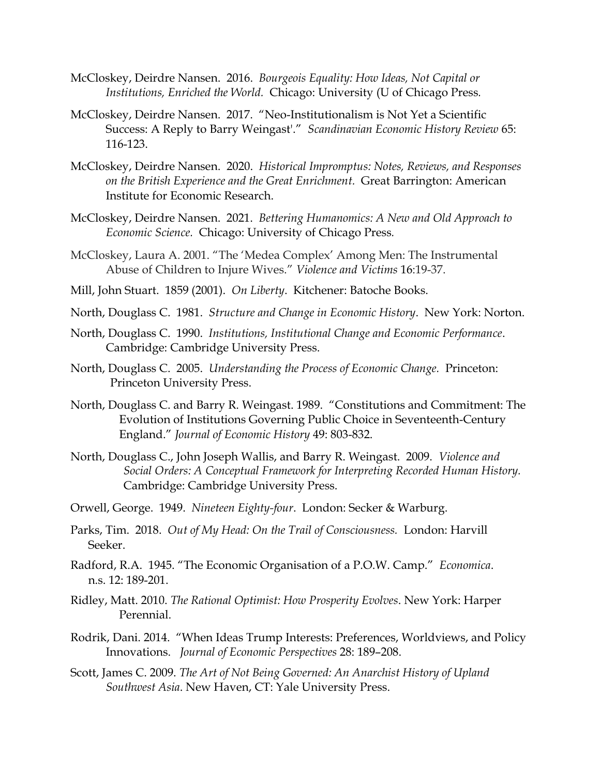- McCloskey, Deirdre Nansen. 2016. *Bourgeois Equality: How Ideas, Not Capital or Institutions, Enriched the World.* Chicago: University (U of Chicago Press*.*
- McCloskey, Deirdre Nansen. 2017. "Neo-Institutionalism is Not Yet a Scientific Success: A Reply to Barry Weingast'." *Scandinavian Economic History Review* 65: 116-123.
- McCloskey, Deirdre Nansen. 2020. *Historical Impromptus: Notes, Reviews, and Responses on the British Experience and the Great Enrichment.* Great Barrington: American Institute for Economic Research.
- McCloskey, Deirdre Nansen. 2021. *Bettering Humanomics: A New and Old Approach to Economic Science.* Chicago: University of Chicago Press*.*
- McCloskey, Laura A. 2001. "The 'Medea Complex' Among Men: The Instrumental Abuse of Children to Injure Wives." *Violence and Victims* 16:19-37.
- Mill, John Stuart. 1859 (2001). *On Liberty*. Kitchener: Batoche Books.
- North, Douglass C. 1981. *Structure and Change in Economic History*. New York: Norton.
- North, Douglass C. 1990. *Institutions, Institutional Change and Economic Performance*. Cambridge: Cambridge University Press.
- North, Douglass C. 2005. *Understanding the Process of Economic Change.* Princeton: Princeton University Press.
- North, Douglass C. and Barry R. Weingast. 1989. "Constitutions and Commitment: The Evolution of Institutions Governing Public Choice in Seventeenth-Century England." *Journal of Economic History* 49: 803-832.
- North, Douglass C., John Joseph Wallis, and Barry R. Weingast. 2009. *Violence and Social Orders: A Conceptual Framework for Interpreting Recorded Human History.* Cambridge: Cambridge University Press.
- Orwell, George. 1949. *Nineteen Eighty-four*. London: Secker & Warburg.
- Parks, Tim. 2018. *Out of My Head: On the Trail of Consciousness.* London: Harvill Seeker.
- Radford, R.A. 1945. "The Economic Organisation of a P.O.W. Camp." *Economica*. n.s. 12: 189-201.
- Ridley, Matt. 2010. *The Rational Optimist: How Prosperity Evolves*. New York: Harper Perennial.
- Rodrik, Dani. 2014. "When Ideas Trump Interests: Preferences, Worldviews, and Policy Innovations. *Journal of Economic Perspectives* 28: 189–208.
- Scott, James C. 2009. *The Art of Not Being Governed: An Anarchist History of Upland Southwest Asia*. New Haven, CT: Yale University Press.